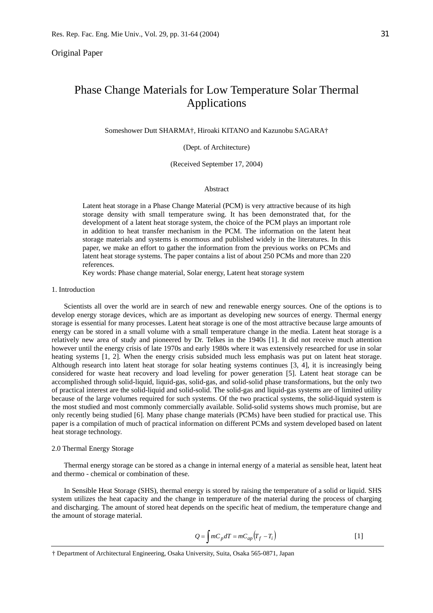Original Paper

# Phase Change Materials for Low Temperature Solar Thermal Applications

Someshower Dutt SHARMA†, Hiroaki KITANO and Kazunobu SAGARA†

(Dept. of Architecture)

(Received September 17, 2004)

#### Abstract

Latent heat storage in a Phase Change Material (PCM) is very attractive because of its high storage density with small temperature swing. It has been demonstrated that, for the development of a latent heat storage system, the choice of the PCM plays an important role in addition to heat transfer mechanism in the PCM. The information on the latent heat storage materials and systems is enormous and published widely in the literatures. In this paper, we make an effort to gather the information from the previous works on PCMs and latent heat storage systems. The paper contains a list of about 250 PCMs and more than 220 references.

Key words: Phase change material, Solar energy, Latent heat storage system

## 1. Introduction

 Scientists all over the world are in search of new and renewable energy sources. One of the options is to develop energy storage devices, which are as important as developing new sources of energy. Thermal energy storage is essential for many processes. Latent heat storage is one of the most attractive because large amounts of energy can be stored in a small volume with a small temperature change in the media. Latent heat storage is a relatively new area of study and pioneered by Dr. Telkes in the 1940s [1]. It did not receive much attention however until the energy crisis of late 1970s and early 1980s where it was extensively researched for use in solar heating systems [1, 2]. When the energy crisis subsided much less emphasis was put on latent heat storage. Although research into latent heat storage for solar heating systems continues [3, 4], it is increasingly being considered for waste heat recovery and load leveling for power generation [5]. Latent heat storage can be accomplished through solid-liquid, liquid-gas, solid-gas, and solid-solid phase transformations, but the only two of practical interest are the solid-liquid and solid-solid. The solid-gas and liquid-gas systems are of limited utility because of the large volumes required for such systems. Of the two practical systems, the solid-liquid system is the most studied and most commonly commercially available. Solid-solid systems shows much promise, but are only recently being studied [6]. Many phase change materials (PCMs) have been studied for practical use. This paper is a compilation of much of practical information on different PCMs and system developed based on latent heat storage technology.

## 2.0 Thermal Energy Storage

 Thermal energy storage can be stored as a change in internal energy of a material as sensible heat, latent heat and thermo - chemical or combination of these.

 In Sensible Heat Storage (SHS), thermal energy is stored by raising the temperature of a solid or liquid. SHS system utilizes the heat capacity and the change in temperature of the material during the process of charging and discharging. The amount of stored heat depends on the specific heat of medium, the temperature change and the amount of storage material.

$$
Q = \int mC_p dT = mC_{ap}(T_f - T_i)
$$
 [1]

<sup>†</sup> Department of Architectural Engineering, Osaka University, Suita, Osaka 565-0871, Japan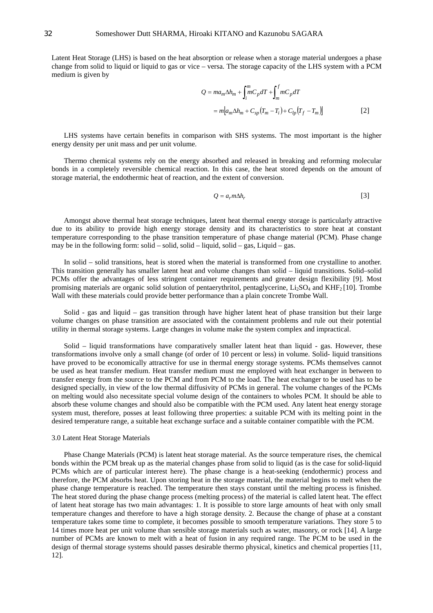Latent Heat Storage (LHS) is based on the heat absorption or release when a storage material undergoes a phase change from solid to liquid or liquid to gas or vice – versa. The storage capacity of the LHS system with a PCM medium is given by

$$
Q = ma_m \Delta h_m + \int_i^m C_p dT + \int_m^f mC_p dT
$$
  
=  $m[a_m \Delta h_m + C_{sp}(T_m - T_i) + C_{lp}(T_f - T_m)]$  [2]

 LHS systems have certain benefits in comparison with SHS systems. The most important is the higher energy density per unit mass and per unit volume.

 Thermo chemical systems rely on the energy absorbed and released in breaking and reforming molecular bonds in a completely reversible chemical reaction. In this case, the heat stored depends on the amount of storage material, the endothermic heat of reaction, and the extent of conversion.

$$
Q = a_r m \Delta h_r \tag{3}
$$

 Amongst above thermal heat storage techniques, latent heat thermal energy storage is particularly attractive due to its ability to provide high energy storage density and its characteristics to store heat at constant temperature corresponding to the phase transition temperature of phase change material (PCM). Phase change may be in the following form: solid – solid, solid – liquid, solid – gas, Liquid – gas.

 In solid – solid transitions, heat is stored when the material is transformed from one crystalline to another. This transition generally has smaller latent heat and volume changes than solid – liquid transitions. Solid–solid PCMs offer the advantages of less stringent container requirements and greater design flexibility [9]. Most promising materials are organic solid solution of pentaerythritol, pentaglycerine,  $Li_2SO_4$  and  $KHF_2[10]$ . Trombe Wall with these materials could provide better performance than a plain concrete Trombe Wall.

 Solid - gas and liquid – gas transition through have higher latent heat of phase transition but their large volume changes on phase transition are associated with the containment problems and rule out their potential utility in thermal storage systems. Large changes in volume make the system complex and impractical.

 Solid – liquid transformations have comparatively smaller latent heat than liquid - gas. However, these transformations involve only a small change (of order of 10 percent or less) in volume. Solid- liquid transitions have proved to be economically attractive for use in thermal energy storage systems. PCMs themselves cannot be used as heat transfer medium. Heat transfer medium must me employed with heat exchanger in between to transfer energy from the source to the PCM and from PCM to the load. The heat exchanger to be used has to be designed specially, in view of the low thermal diffusivity of PCMs in general. The volume changes of the PCMs on melting would also necessitate special volume design of the containers to wholes PCM. It should be able to absorb these volume changes and should also be compatible with the PCM used. Any latent heat energy storage system must, therefore, posses at least following three properties: a suitable PCM with its melting point in the desired temperature range, a suitable heat exchange surface and a suitable container compatible with the PCM.

## 3.0 Latent Heat Storage Materials

 Phase Change Materials (PCM) is latent heat storage material. As the source temperature rises, the chemical bonds within the PCM break up as the material changes phase from solid to liquid (as is the case for solid-liquid PCMs which are of particular interest here). The phase change is a heat-seeking (endothermic) process and therefore, the PCM absorbs heat. Upon storing heat in the storage material, the material begins to melt when the phase change temperature is reached. The temperature then stays constant until the melting process is finished. The heat stored during the phase change process (melting process) of the material is called latent heat. The effect of latent heat storage has two main advantages: 1. It is possible to store large amounts of heat with only small temperature changes and therefore to have a high storage density. 2. Because the change of phase at a constant temperature takes some time to complete, it becomes possible to smooth temperature variations. They store 5 to 14 times more heat per unit volume than sensible storage materials such as water, masonry, or rock [14]. A large number of PCMs are known to melt with a heat of fusion in any required range. The PCM to be used in the design of thermal storage systems should passes desirable thermo physical, kinetics and chemical properties [11, 12].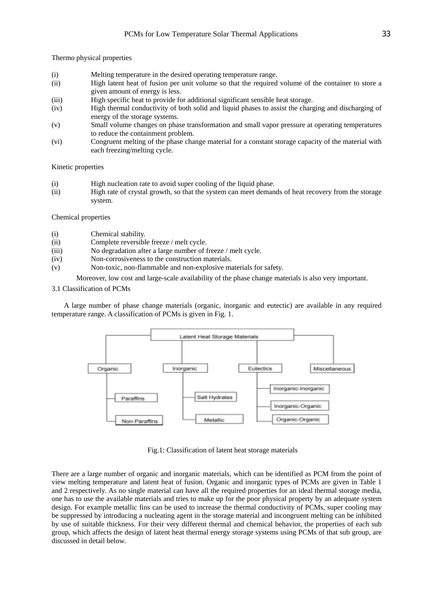Thermo physical properties

- (i) Melting temperature in the desired operating temperature range.
- (ii) High latent heat of fusion per unit volume so that the required volume of the container to store a given amount of energy is less.
- (iii) High specific heat to provide for additional significant sensible heat storage.
- (iv) High thermal conductivity of both solid and liquid phases to assist the charging and discharging of energy of the storage systems.
- (v) Small volume changes on phase transformation and small vapor pressure at operating temperatures to reduce the containment problem.
- (vi) Congruent melting of the phase change material for a constant storage capacity of the material with each freezing/melting cycle.

Kinetic properties

- (i) High nucleation rate to avoid super cooling of the liquid phase.
- (ii) High rate of crystal growth, so that the system can meet demands of heat recovery from the storage system.

Chemical properties

- (i) Chemical stability.
- (ii) Complete reversible freeze / melt cycle.
- (iii) No degradation after a large number of freeze / melt cycle.
- (iv) Non-corrosiveness to the construction materials.
- (v) Non-toxic, non-flammable and non-explosive materials for safety.

Moreover, low cost and large-scale availability of the phase change materials is also very important.

3.1 Classification of PCMs

A large number of phase change materials (organic, inorganic and eutectic) are available in any required temperature range. A classification of PCMs is given in Fig. 1.



Fig.1: Classification of latent heat storage materials

There are a large number of organic and inorganic materials, which can be identified as PCM from the point of view melting temperature and latent heat of fusion. Organic and inorganic types of PCMs are given in Table 1 and 2 respectively. As no single material can have all the required properties for an ideal thermal storage media, one has to use the available materials and tries to make up for the poor physical property by an adequate system design. For example metallic fins can be used to increase the thermal conductivity of PCMs, super cooling may be suppressed by introducing a nucleating agent in the storage material and incongruent melting can be inhibited by use of suitable thickness. For their very different thermal and chemical behavior, the properties of each sub group, which affects the design of latent heat thermal energy storage systems using PCMs of that sub group, are discussed in detail below.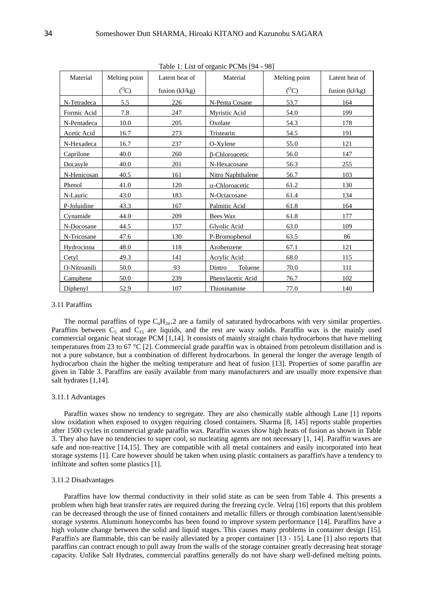| Material     | Melting point | Latent heat of   | Material                  | Melting point | Latent heat of   |
|--------------|---------------|------------------|---------------------------|---------------|------------------|
|              | $(^0C)$       | fusion $(kJ/kg)$ |                           | $(^0C)$       | fusion $(kJ/kg)$ |
| N-Tetradeca  | 5.5           | 226              | N-Penta Cosane            | 53.7          | 164              |
| Formic Acid  | 7.8           | 247              | Myristic Acid             | 54.0          | 199              |
| N-Pentadeca  | 10.0          | 205              | Oxolate                   | 54.3          | 178              |
| Acetic Acid  | 16.7          | 273              | Tristearin                | 54.5          | 191              |
| N-Hexadeca   | 16.7          | 237              | $O-X$ ylene               | 55.0          | 121              |
| Caprilone    | 40.0          | 260              | β-Chloroacetic            | 56.0          | 147              |
| Docasyle     | 40.0          | 201              | N-Hexacosane              | 56.3          | 255              |
| N-Henicosan  | 40.5          | 161              | Nitro Naphthalene<br>56.7 |               | 103              |
| Phenol       | 41.0          | 120              | $\alpha$ -Chloroacetic    | 61.2          | 130              |
| N-Lauric     | 43.0          | 183              | N-Octacosane              | 61.4          | 134              |
| P-Joluidine  | 43.3          | 167              | Palmitic Acid             | 61.8          | 164              |
| Cynamide     | 44.0          | 209              | Bees Wax                  | 61.8          | 177              |
| N-Docosane   | 44.5          | 157              | Glyolic Acid              | 63.0          | 109              |
| N-Tricosane  | 47.6          | 130              | P-Bromophenol             | 63.5          | 86               |
| Hydrocinna   | 48.0          | 118              | Azobenzene                | 67.1          | 121              |
| Cetyl        | 49.3          | 141              | Acrylic Acid              | 68.0          | 115              |
| O-Nitroanili | 50.0          | 93               | Toluene<br>Dintro         | 70.0          | 111              |
| Camphene     | 50.0          | 239              | Phenylacetic Acid         | 76.7          | 102              |
| Diphenyl     | 52.9          | 107              | Thiosinamine              | 77.0          | 140              |

Table 1: List of organic PCMs [94 - 98]

#### 3.11 Paraffins

The normal paraffins of type  $C_nH_{2n+2}$  are a family of saturated hydrocarbons with very similar properties. Paraffins between  $C_5$  and  $C_{15}$  are liquids, and the rest are waxy solids. Paraffin wax is the mainly used commercial organic heat storage PCM [1,14]. It consists of mainly straight chain hydrocarbons that have melting temperatures from 23 to 67 °C [2]. Commercial grade paraffin wax is obtained from petroleum distillation and is not a pure substance, but a combination of different hydrocarbons. In general the longer the average length of hydrocarbon chain the higher the melting temperature and heat of fusion [13]. Properties of some paraffin are given in Table 3. Paraffins are easily available from many manufacturers and are usually more expensive than salt hydrates [1,14].

#### 3.11.1 Advantages

 Paraffin waxes show no tendency to segregate. They are also chemically stable although Lane [1] reports slow oxidation when exposed to oxygen requiring closed containers. Sharma [8, 145] reports stable properties after 1500 cycles in commercial grade paraffin wax. Paraffin waxes show high heats of fusion as shown in Table 3. They also have no tendencies to super cool, so nucleating agents are not necessary [1, 14]. Paraffin waxes are safe and non-reactive [14,15]. They are compatible with all metal containers and easily incorporated into heat storage systems [1]. Care however should be taken when using plastic containers as paraffin's have a tendency to infiltrate and soften some plastics [1].

#### 3.11.2 Disadvantages

 Paraffins have low thermal conductivity in their solid state as can be seen from Table 4. This presents a problem when high heat transfer rates are required during the freezing cycle. Velraj [16] reports that this problem can be decreased through the use of finned containers and metallic fillers or through combination latent/sensible storage systems. Aluminum honeycombs has been found to improve system performance [14]. Paraffins have a high volume change between the solid and liquid stages. This causes many problems in container design [15]. Paraffin's are flammable, this can be easily alleviated by a proper container [13 - 15]. Lane [1] also reports that paraffins can contract enough to pull away from the walls of the storage container greatly decreasing heat storage capacity. Unlike Salt Hydrates, commercial paraffins generally do not have sharp well-defined melting points.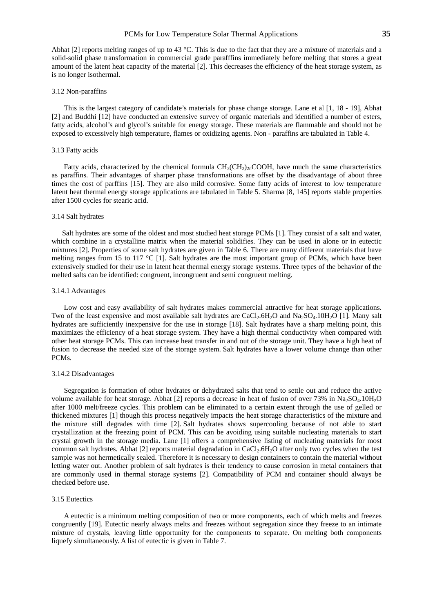Abhat [2] reports melting ranges of up to 43 °C. This is due to the fact that they are a mixture of materials and a solid-solid phase transformation in commercial grade parafffins immediately before melting that stores a great amount of the latent heat capacity of the material [2]. This decreases the efficiency of the heat storage system, as is no longer isothermal.

#### 3.12 Non-paraffins

 This is the largest category of candidate's materials for phase change storage. Lane et al [1, 18 - 19], Abhat [2] and Buddhi [12] have conducted an extensive survey of organic materials and identified a number of esters, fatty acids, alcohol's and glycol's suitable for energy storage. These materials are flammable and should not be exposed to excessively high temperature, flames or oxidizing agents. Non - paraffins are tabulated in Table 4.

#### 3.13 Fatty acids

Fatty acids, characterized by the chemical formula  $CH<sub>3</sub>(CH<sub>2</sub>)<sub>2n</sub>COOH$ , have much the same characteristics as paraffins. Their advantages of sharper phase transformations are offset by the disadvantage of about three times the cost of parffins [15]. They are also mild corrosive. Some fatty acids of interest to low temperature latent heat thermal energy storage applications are tabulated in Table 5. Sharma [8, 145] reports stable properties after 1500 cycles for stearic acid.

#### 3.14 Salt hydrates

 Salt hydrates are some of the oldest and most studied heat storage PCMs [1]. They consist of a salt and water, which combine in a crystalline matrix when the material solidifies. They can be used in alone or in eutectic mixtures [2]. Properties of some salt hydrates are given in Table 6. There are many different materials that have melting ranges from 15 to 117 °C [1]. Salt hydrates are the most important group of PCMs, which have been extensively studied for their use in latent heat thermal energy storage systems. Three types of the behavior of the melted salts can be identified: congruent, incongruent and semi congruent melting.

#### 3.14.1 Advantages

 Low cost and easy availability of salt hydrates makes commercial attractive for heat storage applications. Two of the least expensive and most available salt hydrates are  $CaCl<sub>2</sub>.6H<sub>2</sub>O$  and  $Na<sub>2</sub>SO<sub>4</sub>.10H<sub>2</sub>O$  [1]. Many salt hydrates are sufficiently inexpensive for the use in storage [18]. Salt hydrates have a sharp melting point, this maximizes the efficiency of a heat storage system. They have a high thermal conductivity when compared with other heat storage PCMs. This can increase heat transfer in and out of the storage unit. They have a high heat of fusion to decrease the needed size of the storage system. Salt hydrates have a lower volume change than other PCMs.

#### 3.14.2 Disadvantages

 Segregation is formation of other hydrates or dehydrated salts that tend to settle out and reduce the active volume available for heat storage. Abhat [2] reports a decrease in heat of fusion of over 73% in Na<sub>2</sub>SO<sub>4</sub>.10H<sub>2</sub>O after 1000 melt/freeze cycles. This problem can be eliminated to a certain extent through the use of gelled or thickened mixtures [1] though this process negatively impacts the heat storage characteristics of the mixture and the mixture still degrades with time [2]. Salt hydrates shows supercooling because of not able to start crystallization at the freezing point of PCM. This can be avoiding using suitable nucleating materials to start crystal growth in the storage media. Lane [1] offers a comprehensive listing of nucleating materials for most common salt hydrates. Abhat  $[2]$  reports material degradation in CaCl<sub>2</sub>.6H<sub>2</sub>O after only two cycles when the test sample was not hermetically sealed. Therefore it is necessary to design containers to contain the material without letting water out. Another problem of salt hydrates is their tendency to cause corrosion in metal containers that are commonly used in thermal storage systems [2]. Compatibility of PCM and container should always be checked before use.

## 3.15 Eutectics

 A eutectic is a minimum melting composition of two or more components, each of which melts and freezes congruently [19]. Eutectic nearly always melts and freezes without segregation since they freeze to an intimate mixture of crystals, leaving little opportunity for the components to separate. On melting both components liquefy simultaneously. A list of eutectic is given in Table 7.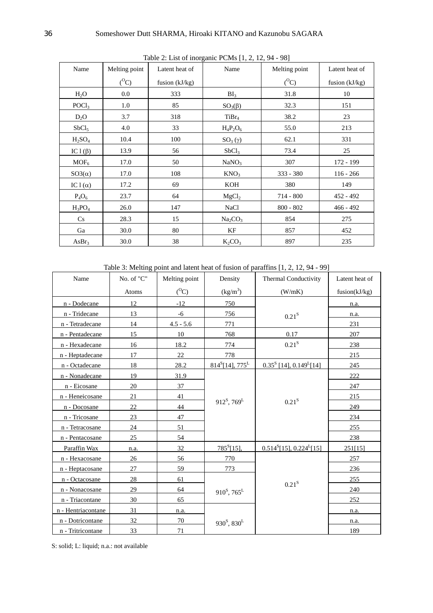| Name                           | Melting point | Latent heat of | $\frac{1}{2}$ . The $\frac{1}{2}$ $\frac{1}{2}$ $\frac{1}{2}$ $\frac{1}{2}$ $\frac{1}{2}$ $\frac{1}{2}$ $\frac{1}{2}$ $\frac{1}{2}$<br>Name | Melting point | Latent heat of   |
|--------------------------------|---------------|----------------|---------------------------------------------------------------------------------------------------------------------------------------------|---------------|------------------|
|                                | $(^0C)$       | fusion (kJ/kg) |                                                                                                                                             | $(^0C)$       | fusion $(kJ/kg)$ |
| $H_2O$                         | 0.0           | 333            | BI <sub>3</sub>                                                                                                                             | 31.8          | 10               |
| POCl <sub>3</sub>              | 1.0           | 85             | $SO_3(\beta)$                                                                                                                               | 32.3          | 151              |
| $D_2O$                         | 3.7           | 318            | TiBr <sub>4</sub>                                                                                                                           | 38.2          | 23               |
| SbCl <sub>5</sub>              | 4.0           | 33             | $H_4P_2O_6$                                                                                                                                 | 55.0          | 213              |
| H <sub>2</sub> SO <sub>4</sub> | 10.4          | 100            | $SO_3(\gamma)$                                                                                                                              | 62.1          | 331              |
| IC $l(\beta)$                  | 13.9          | 56             | SbCl <sub>3</sub>                                                                                                                           | 73.4          | 25               |
| MOF <sub>6</sub>               | 17.0          | 50             | NaNO <sub>3</sub>                                                                                                                           | 307           | 172 - 199        |
| $SO3(\alpha)$                  | 17.0          | 108            | KNO <sub>3</sub>                                                                                                                            | $333 - 380$   | $116 - 266$      |
| IC $l(\alpha)$                 | 17.2          | 69             | <b>KOH</b>                                                                                                                                  | 380           | 149              |
| $P_4O_6$                       | 23.7          | 64             | MgCl <sub>2</sub>                                                                                                                           | $714 - 800$   | 452 - 492        |
| $H_3PO_4$                      | 26.0          | 147            | <b>NaCl</b>                                                                                                                                 | $800 - 802$   | $466 - 492$      |
| Cs                             | 28.3          | 15             | Na <sub>2</sub> CO <sub>3</sub>                                                                                                             | 854           | 275              |
| Ga                             | 30.0          | 80             | KF                                                                                                                                          | 857           | 452              |
| AsBr <sub>3</sub>              | 30.0          | 38             | $K_2CO_3$                                                                                                                                   | 897           | 235              |

Table 2: List of inorganic PCMs [1, 2, 12, 94 - 98]

Table 3: Melting point and latent heat of fusion of paraffins [1, 2, 12, 94 - 99]

| Name               | No. of "C" | Melting point | Density                          | <b>Thermal Conductivity</b> | Latent heat of |
|--------------------|------------|---------------|----------------------------------|-----------------------------|----------------|
|                    | Atoms      | $(^0C)$       | (kg/m <sup>3</sup> )             | (W/mK)                      | fusion(kJ/kg)  |
| n - Dodecane       | 12         | $-12$         | 750                              |                             | n.a.           |
| n - Tridecane      | 13         | $-6$          | 756                              | 0.21 <sup>S</sup>           | n.a.           |
| n - Tetradecane    | 14         | $4.5 - 5.6$   | 771                              |                             | 231            |
| n - Pentadecane    | 15         | 10            | 768                              | 0.17                        | 207            |
| n - Hexadecane     | 16         | 18.2          | 774                              | 0.21 <sup>S</sup>           | 238            |
| n - Heptadecane    | 17         | 22            | 778                              |                             | 215            |
| n - Octadecane     | 18         | 28.2          | $814^{S}$ [14], $775^{L}$        | $0.35S$ [14], $0.149L$ [14] | 245            |
| n - Nonadecane     | 19         | 31.9          |                                  |                             | 222            |
| n - Eicosane       | 20         | 37            |                                  |                             | 247            |
| n - Heneicosane    | 21         | 41            |                                  |                             | 215            |
| n - Docosane       | 22         | 44            | $912^{\rm S}$ , 769 <sup>L</sup> | $0.21^{S}$                  | 249            |
| n - Tricosane      | 23         | 47            |                                  |                             | 234            |
| n - Tetracosane    | 24         | 51            |                                  |                             | 255            |
| n - Pentacosane    | 25         | 54            |                                  |                             | 238            |
| Paraffin Wax       | n.a.       | 32            | $785^{S}$ [15],                  | $0.514S[15], 0.224L[15]$    | 251[15]        |
| n - Hexacosane     | 26         | 56            | 770                              |                             | 257            |
| n - Heptacosane    | 27         | 59            | 773                              |                             | 236            |
| n - Octacosane     | 28         | 61            |                                  |                             | 255            |
| n - Nonacosane     | 29         | 64            | $910^{\rm S}$ , 765 <sup>L</sup> | 0.21 <sup>S</sup>           | 240            |
| n - Triacontane    | 30         | 65            |                                  |                             | 252            |
| n - Hentriacontane | 31         | n.a.          |                                  |                             | n.a.           |
| n - Dotricontane   | 32         | 70            | $930^{\rm S}, 830^{\rm L}$       |                             | n.a.           |
| n - Tritricontane  | 33         | 71            |                                  |                             | 189            |

S: solid; L: liquid; n.a.: not available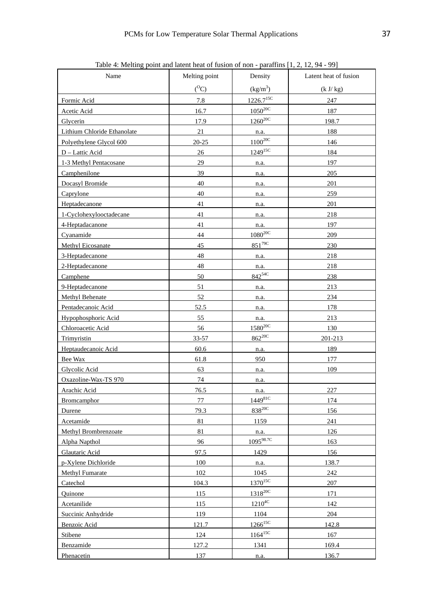| Name                        | Melting point | Density               | Latent heat of fusion |
|-----------------------------|---------------|-----------------------|-----------------------|
|                             | $(^0C)$       | $(kg/m^3)$            | (k J/kg)              |
| Formic Acid                 | 7.8           | $1226.7^{15C}$        | 247                   |
| Acetic Acid                 | 16.7          | $1050^{20C}$          | 187                   |
| Glycerin                    | 17.9          | $1260^{20C}$          | 198.7                 |
| Lithium Chloride Ethanolate | 21            | n.a.                  | 188                   |
| Polyethylene Glycol 600     | $20 - 25$     | $1100^{20C}$          | 146                   |
| D - Lattic Acid             | 26            | $1249^{15C}$          | 184                   |
| 1-3 Methyl Pentacosane      | 29            | n.a.                  | 197                   |
| Camphenilone                | 39            | n.a.                  | 205                   |
| Docasyl Bromide             | 40            | n.a.                  | 201                   |
| Caprylone                   | 40            | n.a.                  | 259                   |
| Heptadecanone               | 41            | n.a.                  | 201                   |
| 1-Cyclohexylooctadecane     | 41            | n.a.                  | 218                   |
| 4-Heptadacanone             | 41            | n.a.                  | 197                   |
| Cyanamide                   | 44            | $1080^{20\mathrm{C}}$ | 209                   |
| Methyl Eicosanate           | 45            | $851^{79\rm C}$       | 230                   |
| 3-Heptadecanone             | 48            | n.a.                  | 218                   |
| 2-Heptadecanone             | 48            | n.a.                  | 218                   |
| Camphene                    | 50            | 842 <sup>54C</sup>    | 238                   |
| 9-Heptadecanone             | 51            | n.a.                  | 213                   |
| Methyl Behenate             | 52            | n.a.                  | 234                   |
| Pentadecanoic Acid          | 52.5          | n.a.                  | 178                   |
| Hypophosphoric Acid         | 55            | n.a.                  | 213                   |
| Chloroacetic Acid           | 56            | $1580^{20C}$          | 130                   |
| Trimyristin                 | 33-57         | 862 <sup>20C</sup>    | 201-213               |
| Heptaudecanoic Acid         | 60.6          | n.a.                  | 189                   |
| Bee Wax                     | 61.8          | 950                   | 177                   |
| Glycolic Acid               | 63            | n.a.                  | 109                   |
| Oxazoline-Wax-TS 970        | 74            | n.a.                  |                       |
| Arachic Acid                | 76.5          | n.a.                  | 227                   |
| Bromcamphor                 | 77            | 1449 <sup>81C</sup>   | 174                   |
| Durene                      | 79.3          | 838 <sup>20C</sup>    | 156                   |
| Acetamide                   | 81            | 1159                  | 241                   |
| Methyl Brombrenzoate        | $81\,$        | n.a.                  | 126                   |
| Alpha Napthol               | 96            | 109598.7C             | 163                   |
| Glautaric Acid              | 97.5          | 1429                  | 156                   |
| p-Xylene Dichloride         | 100           | n.a.                  | 138.7                 |
| Methyl Fumarate             | 102           | 1045                  | 242                   |
| Catechol                    | 104.3         | $1370^{15C}$          | 207                   |
| Quinone                     | 115           | 1318 <sup>20C</sup>   | 171                   |
| Acetanilide                 | 115           | $1210^{4C}$           | 142                   |
| Succinic Anhydride          | 119           | 1104                  | 204                   |
| Benzoic Acid                | 121.7         | $1266^{15C}$          | 142.8                 |
| Stibene                     | 124           | $1164^{15C}$          | 167                   |
| Benzamide                   | 127.2         | 1341                  | 169.4                 |
| Phenacetin                  | 137           | n.a.                  | 136.7                 |

Table 4: Melting point and latent heat of fusion of non - paraffins [1, 2, 12, 94 - 99]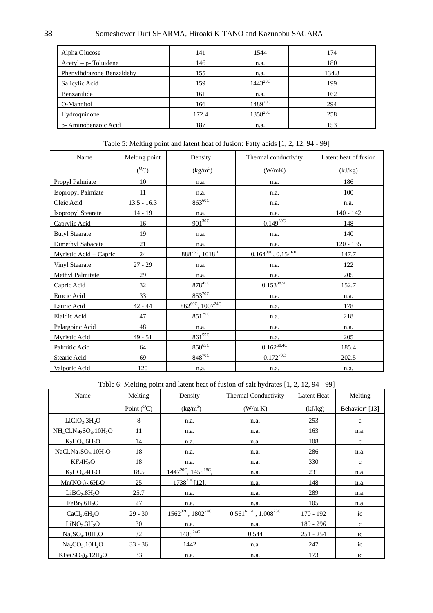| Alpha Glucose             | 141   | 1544                | 174   |
|---------------------------|-------|---------------------|-------|
| $Acetyl-p-Toluidene$      | 146   | n.a.                | 180   |
| Phenylhdrazone Benzaldehy | 155   | n.a.                | 134.8 |
| Salicylic Acid            | 159   | $1443^{20C}$        | 199   |
| Benzanilide               | 161   | n.a.                | 162   |
| O-Mannitol                | 166   | $1489^{20C}$        | 294   |
| Hydroquinone              | 172.4 | 1358 <sup>20C</sup> | 258   |
| p-Aminobenzoic Acid       | 187   | n.a.                | 153   |

Table 5: Melting point and latent heat of fusion: Fatty acids [1, 2, 12, 94 - 99]

| Name                      | Melting point | Density                                  | Thermal conductivity          | Latent heat of fusion |
|---------------------------|---------------|------------------------------------------|-------------------------------|-----------------------|
|                           | $(^0C)$       | $(kg/m^3)$                               | (W/mK)                        | (kJ/kg)               |
| Propyl Palmiate           | 10            | n.a.                                     | n.a.                          | 186                   |
| <b>Isopropyl Palmiate</b> | 11            | n.a.                                     | n.a.                          | 100                   |
| Oleic Acid                | $13.5 - 16.3$ | $863^{60C}$                              | n.a.                          | n.a.                  |
| <b>Isopropyl Stearate</b> | 14 - 19       | n.a.                                     | n.a.                          | 140 - 142             |
| Caprylic Acid             | 16            | $901^{30C}$                              | $0.149^{39C}$                 | 148                   |
| <b>Butyl Stearate</b>     | 19            | n.a.                                     | n.a.                          | 140                   |
| Dimethyl Sabacate         | 21            | n.a.                                     | n.a.                          | $120 - 135$           |
| Myristic Acid + Capric    | 24            | $888^{25C}$ , 1018 <sup>1C</sup>         | $0.164^{39C}$ , $0.154^{61C}$ | 147.7                 |
| Vinyl Stearate            | 27 - 29       | n.a.                                     | n.a.                          | 122                   |
| Methyl Palmitate          | 29            | n.a.                                     | n.a.                          | 205                   |
| Capric Acid               | 32            | $878^{45C}$                              | $0.153^{38.5C}$               | 152.7                 |
| Erucic Acid               | 33            | $853^{70C}$                              | n.a.                          | n.a.                  |
| Lauric Acid               | $42 - 44$     | 862 <sup>60C</sup> , 1007 <sup>24C</sup> | n.a.                          | 178                   |
| Elaidic Acid              | 47            | $851^{79C}$                              | n.a.                          | 218                   |
| Pelargoinc Acid           | 48            | n.a.                                     | n.a.                          | n.a.                  |
| Myristic Acid             | 49 - 51       | $861^{55C}$                              | n.a.                          | 205                   |
| Palmitic Acid             | 64            | $850^{65C}$                              | $0.162^{68.4C}$               | 185.4                 |
| Stearic Acid              | 69            | 848 <sup>70C</sup>                       | $0.172^{70C}$                 | 202.5                 |
| Valporic Acid             | 120           | n.a.                                     | n.a.                          | n.a.                  |

Table 6: Melting point and latent heat of fusion of salt hydrates [1, 2, 12, 94 - 99]

| Name                                      | Melting       | Density                                     | <b>Thermal Conductivity</b>            | Latent Heat | Melting                    |
|-------------------------------------------|---------------|---------------------------------------------|----------------------------------------|-------------|----------------------------|
|                                           | Point $(^0C)$ | $(kg/m^3)$                                  | (W/m K)                                | (kJ/kg)     | Behavior <sup>a</sup> [13] |
| LiClO <sub>3</sub> .3H <sub>2</sub> O     | 8             | n.a.                                        | n.a.                                   | 253         | c                          |
| $NH_4Cl$ . $Na_2SO_4$ .10H <sub>2</sub> O | 11            | n.a.                                        | n.a.                                   | 163         | n.a.                       |
| $K_2HO_4.6H_2O$                           | 14            | n.a.                                        | n.a.                                   | 108         | $\mathbf c$                |
| $NaCl.Na2SO4.10H2O$                       | 18            | n.a.                                        | n.a.                                   | 286         | n.a.                       |
| KF.4H <sub>2</sub> O                      | 18            | n.a.                                        | n.a.                                   | 330         | c                          |
| $K_2HO_4.4H_2O$                           | 18.5          | 1447 <sup>20C</sup> , 1455 <sup>18C</sup> , | n.a.                                   | 231         | n.a.                       |
| $Mn(NO3)$ <sub>2</sub> .6H <sub>2</sub> O | 25            | $1738^{20}$ [12],                           | n.a.                                   | 148         | n.a.                       |
| LiBO <sub>2</sub> .8H <sub>2</sub> O      | 25.7          | n.a.                                        | n.a.                                   | 289         | n.a.                       |
| FeBr <sub>3</sub> .6H <sub>2</sub> O      | 27            | n.a.                                        | n.a.                                   | 105         | n.a.                       |
| CaCl <sub>2</sub> .6H <sub>2</sub> O      | $29 - 30$     | 1562 <sup>32C</sup> , 1802 <sup>24C</sup>   | $0.561^{61.2C}$ , 1.008 <sup>23C</sup> | 170 - 192   | ic                         |
| LiNO <sub>3</sub> .3H <sub>2</sub> O      | 30            | n.a.                                        | n.a.                                   | 189 - 296   | c                          |
| $Na2SO4$ .10H <sub>2</sub> O              | 32            | $1485^{24C}$                                | 0.544                                  | $251 - 254$ | ic                         |
| $Na_2CO_3.10H_2O$                         | $33 - 36$     | 1442                                        | n.a.                                   | 247         | ic                         |
| $KFe(SO4)2$ .12H <sub>2</sub> O           | 33            | n.a.                                        | n.a.                                   | 173         | ic                         |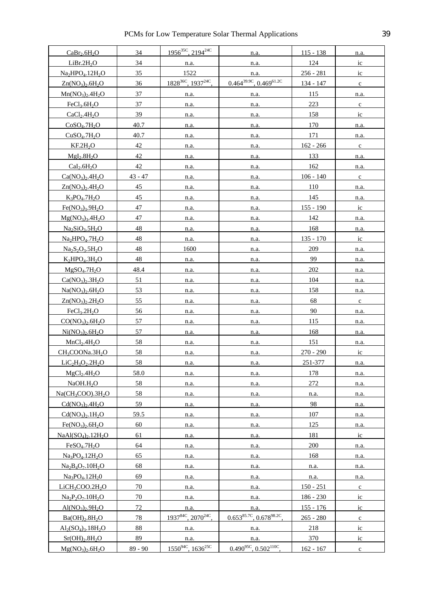| CaBr <sub>2</sub> .6H <sub>2</sub> O    | 34        | 1956 <sup>35C</sup> , 2194 <sup>24C</sup>         | n.a.                                     | $115 - 138$ | n.a.         |
|-----------------------------------------|-----------|---------------------------------------------------|------------------------------------------|-------------|--------------|
| LiBr.2H <sub>2</sub> O                  | 34        | n.a.                                              | n.a.                                     | 124         | ic           |
| $Na2HPO4.12H2O$                         | 35        | 1522                                              | n.a.                                     | $256 - 281$ | ic           |
| $Zn(NO3)2.6H2O$                         | 36        | 1828 <sup>36C</sup> , 1937 <sup>24C</sup> ,       | $0.464^{39.9C}$ , $0.469^{61.2C}$        | 134 - 147   | $\mathbf c$  |
| $Mn(NO3)2.4H2O$                         | 37        | n.a.                                              | n.a.                                     | 115         | n.a.         |
| FeCl <sub>3</sub> .6H <sub>2</sub> O    | 37        | n.a.                                              | n.a.                                     | 223         | $\mathbf c$  |
| CaCl <sub>2</sub> .4H <sub>2</sub> O    | 39        | n.a.                                              | n.a.                                     | 158         | ic           |
| CoSO <sub>4</sub> .7H <sub>2</sub> O    | 40.7      | n.a.                                              | n.a.                                     | 170         | n.a.         |
| CuSO <sub>4</sub> .7H <sub>2</sub> O    | 40.7      | n.a.                                              | n.a.                                     | 171         | n.a.         |
| KF.2H <sub>2</sub> O                    | 42        | n.a.                                              | n.a.                                     | $162 - 266$ | $\mathbf c$  |
| MgI <sub>2</sub> .8H <sub>2</sub> O     | 42        | n.a.                                              | n.a.                                     | 133         | n.a.         |
| Cal <sub>2</sub> .6H <sub>2</sub> O     | 42        | n.a.                                              | n.a.                                     | 162         | n.a.         |
| $Ca(NO3)2.4H2O$                         | $43 - 47$ | n.a.                                              | n.a.                                     | $106 - 140$ | $\mathbf c$  |
| $Zn(NO3)2$ .4H <sub>2</sub> O           | 45        | n.a.                                              | n.a.                                     | 110         | n.a.         |
| $K_3PO_4.7H_2O$                         | 45        | n.a.                                              | n.a.                                     | 145         | n.a.         |
| $Fe(NO3)3.9H2O$                         | 47        | n.a.                                              | n.a.                                     | $155 - 190$ | $i_{\rm c}$  |
| $Mg(NO3)3.4H2O$                         | 47        | n.a.                                              | n.a.                                     | 142         | n.a.         |
| $Na2SiO3.5H2O$                          | 48        | n.a.                                              | n.a.                                     | 168         | n.a.         |
| $Na2HPO4.7H2O$                          | 48        | n.a.                                              | n.a.                                     | $135 - 170$ | ic           |
| $Na2S2O3$ .5H <sub>2</sub> O            | 48        | 1600                                              | n.a.                                     | 209         | n.a.         |
| $K_2HPO_4.3H_2O$                        | 48        | n.a.                                              | n.a.                                     | 99          | n.a.         |
| MgSO <sub>4</sub> .7H <sub>2</sub> O    | 48.4      | n.a.                                              | n.a.                                     | 202         | n.a.         |
| $Ca(NO3)2.3H2O$                         | 51        | n.a.                                              | n.a.                                     | 104         | n.a.         |
| $Na(NO3)2.6H2O$                         | 53        | n.a.                                              | n.a.                                     | 158         | n.a.         |
| $Zn(NO3)2.2H2O$                         | 55        | n.a.                                              | n.a.                                     | 68          | $\mathbf c$  |
| FeCl <sub>3</sub> .2H <sub>2</sub> O    | 56        | n.a.                                              | n.a.                                     | 90          | n.a.         |
| $CO(NO3)2.6H2O$                         | 57        | n.a.                                              | n.a.                                     | 115         | n.a.         |
| $Ni(NO3)2.6H2O$                         | 57        | n.a.                                              | n.a.                                     | 168         | n.a.         |
| MnCl <sub>2</sub> .4H <sub>2</sub> O    | 58        | n.a.                                              | n.a.                                     | 151         | n.a.         |
| CH <sub>3</sub> COONa.3H <sub>2</sub> O | 58        | n.a.                                              | n.a.                                     | $270 - 290$ | ic           |
| $LiC2H3O2$ .2H <sub>2</sub> O           | 58        | n.a.                                              | n.a.                                     | 251-377     | n.a.         |
| MgCl <sub>2</sub> .4H <sub>2</sub> O    | 58.0      | n.a.                                              | n.a.                                     | 178         | n.a.         |
| NaOH.H <sub>2</sub> O                   | 58        | n.a.                                              | n.a.                                     | 272         | n.a.         |
| $NaCH_3COO$ ).3H <sub>2</sub> O         | 58        | n.a.                                              | n.a.                                     | n.a.        | n.a.         |
| $Cd(NO3)2.4H2O$                         | 59        | n.a.                                              | n.a.                                     | 98          | n.a.         |
| $Cd(NO3)2.1H2O$                         | 59.5      | n.a.                                              | n.a.                                     | 107         | n.a.         |
| $Fe(NO3)2.6H2O$                         | 60        | n.a.                                              | n.a.                                     | 125         | n.a.         |
| $NaAl(SO4)2.12H2O$                      | 61        | n.a.                                              | n.a.                                     | 181         | ic           |
| FeSO <sub>4</sub> .7H <sub>2</sub> O    | 64        | n.a.                                              | n.a.                                     | 200         | n.a.         |
| $Na3PO4.12H2O$                          | 65        | n.a.                                              | n.a.                                     | 168         | n.a.         |
| $Na2B4O7$ . 10H <sub>2</sub> O          | 68        | n.a.                                              | n.a.                                     | n.a.        | n.a.         |
| $Na3PO4.12H2O$                          | 69        | n.a.                                              | n.a.                                     | n.a.        | n.a.         |
| LiCH <sub>3</sub> COO.2H <sub>2</sub> O | 70        | n.a.                                              | n.a.                                     | $150 - 251$ | $\mathbf c$  |
| $Na2P2O7$ .10H <sub>2</sub> O           | $70\,$    | n.a.                                              | n.a.                                     | $186 - 230$ | ic           |
| $Al(NO3)2.9H2O$                         | 72        | n.a.                                              | n.a.                                     | $155 - 176$ | ic           |
| Ba(OH) <sub>2</sub> .8H <sub>2</sub> O  | 78        | 193784C, 2070 <sup>24C</sup> ,                    | $0.653^{85.7C}$ , $0.678^{98.2C}$ ,      | $265 - 280$ | $\mathbf c$  |
| $Al_2(SO_4)_3.18H_2O$                   | 88        |                                                   |                                          | 218         | ic           |
| Sr(OH) <sub>2</sub> .8H <sub>2</sub> O  | 89        | n.a.                                              | n.a.                                     | 370         | ic           |
|                                         | $89 - 90$ | n.a.<br>1550 <sup>94C</sup> , 1636 <sup>25C</sup> | n.a.<br>$0.490^{95C}$ , $0.502^{110C}$ , |             |              |
| $Mg(NO3)2.6H2O$                         |           |                                                   |                                          | $162 - 167$ | $\mathbf{C}$ |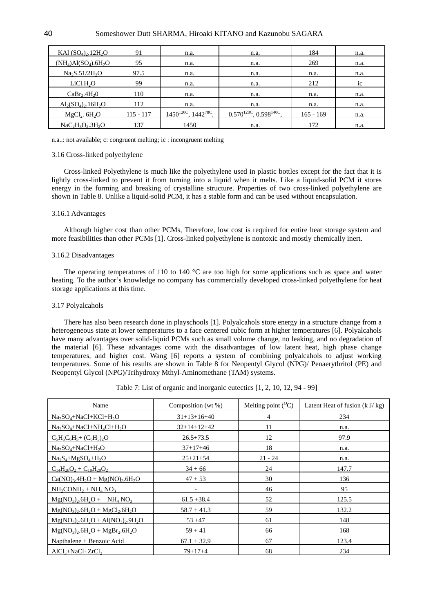| KAI $(SO_4)_{2}$ .12H <sub>2</sub> O              | 91          | n.a.                           | n.a.                              | 184         | n.a.           |
|---------------------------------------------------|-------------|--------------------------------|-----------------------------------|-------------|----------------|
| $(NH4)Al(SO4).6H2O$                               | 95          | n.a.                           | n.a.                              | 269         | n.a.           |
| Na <sub>2</sub> S.51/2H <sub>2</sub> O            | 97.5        | n.a.                           | n.a.                              | n.a.        | n.a.           |
| LiCl.H <sub>2</sub> O                             | 99          | n.a.                           | n.a.                              | 212         | 1 <sup>C</sup> |
| CaBr <sub>2</sub> .4H <sub>2</sub> O              | 110         | n.a.                           | n.a.                              | n.a.        | n.a.           |
| $\text{Al}_2(\text{SO}_4)_2.16\text{H}_2\text{O}$ | 112         | n.a.                           | n.a.                              | n.a.        | n.a.           |
| $MgCl2$ . 6H <sub>2</sub> O                       | $115 - 117$ | $1450^{120C}$ , $1442^{78C}$ , | $0.570^{120C}$ , $0.598^{140C}$ , | $165 - 169$ | n.a.           |
| $NaC2H3O2$ .3H <sub>2</sub> O                     | 137         | 1450                           | n.a.                              | 172         | n.a.           |

n.a..: not available; c: congruent melting; ic : incongruent melting

## 3.16 Cross-linked polyethylene

 Cross-linked Polyethylene is much like the polyethylene used in plastic bottles except for the fact that it is lightly cross-linked to prevent it from turning into a liquid when it melts. Like a liquid-solid PCM it stores energy in the forming and breaking of crystalline structure. Properties of two cross-linked polyethylene are shown in Table 8. Unlike a liquid-solid PCM, it has a stable form and can be used without encapsulation.

## 3.16.1 Advantages

 Although higher cost than other PCMs, Therefore, low cost is required for entire heat storage system and more feasibilities than other PCMs [1]. Cross-linked polyethylene is nontoxic and mostly chemically inert.

## 3.16.2 Disadvantages

The operating temperatures of 110 to 140 °C are too high for some applications such as space and water heating. To the author's knowledge no company has commercially developed cross-linked polyethylene for heat storage applications at this time.

#### 3.17 Polyalcahols

 There has also been research done in playschools [1]. Polyalcahols store energy in a structure change from a heterogeneous state at lower temperatures to a face centered cubic form at higher temperatures [6]. Polyalcahols have many advantages over solid-liquid PCMs such as small volume change, no leaking, and no degradation of the material [6]. These advantages come with the disadvantages of low latent heat, high phase change temperatures, and higher cost. Wang [6] reports a system of combining polyalcahols to adjust working temperatures. Some of his results are shown in Table 8 for Neopentyl Glycol (NPG)/ Penaerythritol (PE) and Neopentyl Glycol (NPG)/Trihydroxy Mthyl-Aminomethane (TAM) systems.

|  |  |  | Table 7: List of organic and inorganic eutectics [1, 2, 10, 12, 94 - 99] |  |  |  |  |
|--|--|--|--------------------------------------------------------------------------|--|--|--|--|
|  |  |  |                                                                          |  |  |  |  |

| Name                                                       | Composition (wt %) | Melting point $({}^{0}C)$ | Latent Heat of fusion $(k J/kg)$ |
|------------------------------------------------------------|--------------------|---------------------------|----------------------------------|
| $Na2SO4+NaCl+KCl+H2O$                                      | $31+13+16+40$      | 4                         | 234                              |
| $Na2SO4+NaCl+NH4Cl+H2O$                                    | $32+14+12+42$      | 11                        | n.a.                             |
| $C_5H_5C_6H_5+(C_6H_5)_2O$                                 | $26.5 + 73.5$      | 12                        | 97.9                             |
| $Na2SO4+NaCl+H2O$                                          | $37+17+46$         | 18                        | n.a.                             |
| $Na2S4+MgSO4+H2O$                                          | $25 + 21 + 54$     | $21 - 24$                 | n.a.                             |
| $C_{14}H_{28}O_2 + C_{10}H_{20}O_2$                        | $34 + 66$          | 24                        | 147.7                            |
| $Ca(NO)_3.4H_2O + Mg(NO)_3.6H_2O$                          | $47 + 53$          | 30                        | 136                              |
| $NH_2$ CONH <sub>2</sub> + NH <sub>4</sub> NO <sub>3</sub> |                    | 46                        | 95                               |
| $Mg(NO3)2.6H2O + NH4 NO3$                                  | $61.5 + 38.4$      | 52                        | 125.5                            |
| $Mg(NO3)2.6H2O + MgCl2.6H2O$                               | $58.7 + 41.3$      | 59                        | 132.2                            |
| $Mg(NO3)2.6H2O + Al(NO3)2.9H2O$                            | $53 + 47$          | 61                        | 148                              |
| $Mg(NO3)2.6H2O + MgBr2.6H2O$                               | $59 + 41$          | 66                        | 168                              |
| Napthalene + Benzoic Acid                                  | $67.1 + 32.9$      | 67                        | 123.4                            |
| $AICI3+NaCl+ZrCl2$                                         | $79+17+4$          | 68                        | 234                              |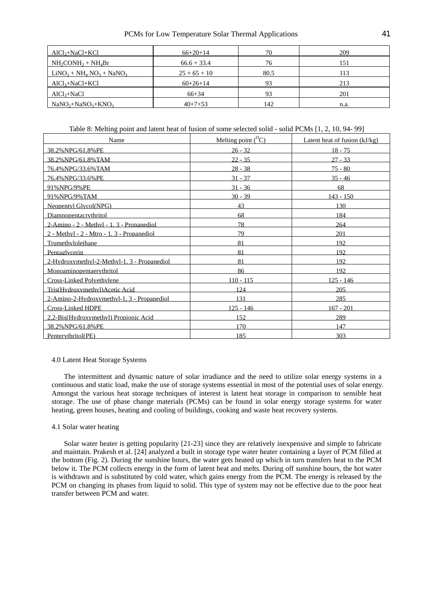## PCMs for Low Temperature Solar Thermal Applications 41

| $AICI3+NaCl+KCl$                              | $66+20+14$     | 70   | 209  |
|-----------------------------------------------|----------------|------|------|
| $NH_2$ CONH <sub>2</sub> + NH <sub>4</sub> Br | $66.6 + 33.4$  | 76   | 151  |
| $LiNO3 + NH4 NO3 + NaNO3$                     | $25 + 65 + 10$ | 80.5 | 113  |
| $AICI3+NaCl+KCl$                              | $60+26+14$     | 93   | 213  |
| $AlCl3+NaCl$                                  | $66 + 34$      | 93   | 201  |
| $NaNO2+NaNO3+KNO3$                            | $40+7+53$      | 142  | n.a. |

## Table 8: Melting point and latent heat of fusion of some selected solid - solid PCMs [1, 2, 10, 94- 99]

| Name                                       | Melting point $(^{O}C)$ | Latent heat of fusion $(kJ/kg)$ |
|--------------------------------------------|-------------------------|---------------------------------|
| 38.2%NPG/61.8%PE                           | $26 - 32$               | $18 - 75$                       |
| 38.2%NPG/61.8%TAM                          | $22 - 35$               | $27 - 33$                       |
| 76.4% NPG/33.6% TAM                        | $28 - 38$               | $75 - 80$                       |
| 76.4% NPG/33.6% PE                         | $31 - 37$               | $35 - 46$                       |
| 91%NPG/9%PE                                | $31 - 36$               | 68                              |
| 91%NPG/9%TAM                               | $30 - 39$               | 143 - 150                       |
| Neopentyl Glycol(NPG)                      | 43                      | 130                             |
| Diamnopentacrythritol                      | 68                      | 184                             |
| 2-Amino - 2 - Methyl - 1, 3 - Propanediol  | 78                      | 264                             |
| 2 - Methyl - 2 - Mtro - 1, 3 - Propanediol | 79                      | 201                             |
| Trumethylolethane                          | 81                      | 192                             |
| Pentaglycerin                              | 81                      | 192                             |
| 2-Hydroxymethyl-2-Methyl-1.3 - Propanediol | 81                      | 192                             |
| Monoaminopentaerythritol                   | 86                      | 192                             |
| <b>Cross-Linked Polvethylene</b>           | 110 - 115               | $125 - 146$                     |
| Tris(Hydroxymethyl)Acetic Acid             | 124                     | 205                             |
| 2-Amino-2-Hydroxymethyl-1.3 - Propanediol  | 131                     | 285                             |
| Cross-Linked HDPE                          | 125 - 146               | 167 - 201                       |
| 2.2-Bis(Hydroxymethyl) Propionic Acid      | 152                     | 289                             |
| 38.2%NPG/61.8%PE                           | 170                     | 147                             |
| Penterythritol(PE)                         | 185                     | 303                             |

#### 4.0 Latent Heat Storage Systems

 The intermittent and dynamic nature of solar irradiance and the need to utilize solar energy systems in a continuous and static load, make the use of storage systems essential in most of the potential uses of solar energy. Amongst the various heat storage techniques of interest is latent heat storage in comparison to sensible heat storage. The use of phase change materials (PCMs) can be found in solar energy storage systems for water heating, green houses, heating and cooling of buildings, cooking and waste heat recovery systems.

## 4.1 Solar water heating

 Solar water heater is getting popularity [21-23] since they are relatively inexpensive and simple to fabricate and maintain. Prakesh et al. [24] analyzed a built in storage type water heater containing a layer of PCM filled at the bottom (Fig. 2). During the sunshine hours, the water gets heated up which in turn transfers heat to the PCM below it. The PCM collects energy in the form of latent heat and melts. During off sunshine hours, the hot water is withdrawn and is substituted by cold water, which gains energy from the PCM. The energy is released by the PCM on changing its phases from liquid to solid. This type of system may not be effective due to the poor heat transfer between PCM and water.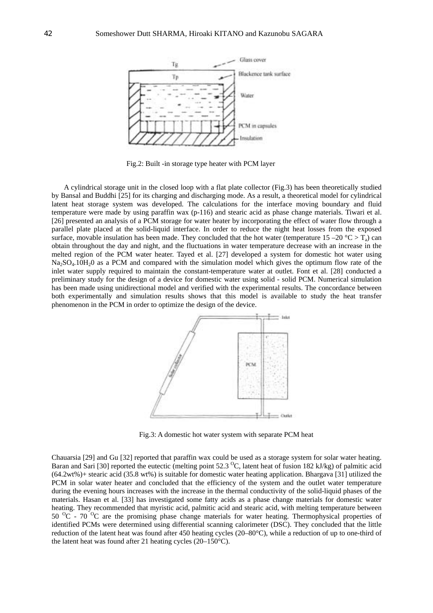

Fig.2: Built -in storage type heater with PCM layer

A cylindrical storage unit in the closed loop with a flat plate collector (Fig.3) has been theoretically studied by Bansal and Buddhi [25] for its charging and discharging mode. As a result, a theoretical model for cylindrical latent heat storage system was developed. The calculations for the interface moving boundary and fluid temperature were made by using paraffin wax (p-116) and stearic acid as phase change materials. Tiwari et al. [26] presented an analysis of a PCM storage for water heater by incorporating the effect of water flow through a parallel plate placed at the solid-liquid interface. In order to reduce the night heat losses from the exposed surface, movable insulation has been made. They concluded that the hot water (temperature  $15 - 20$  °C  $>$  T<sub>a</sub>) can obtain throughout the day and night, and the fluctuations in water temperature decrease with an increase in the melted region of the PCM water heater. Tayed et al. [27] developed a system for domestic hot water using Na<sub>2</sub>SO<sub>4</sub>.10H<sub>2</sub>O as a PCM and compared with the simulation model which gives the optimum flow rate of the inlet water supply required to maintain the constant-temperature water at outlet. Font et al. [28] conducted a preliminary study for the design of a device for domestic water using solid - solid PCM. Numerical simulation has been made using unidirectional model and verified with the experimental results. The concordance between both experimentally and simulation results shows that this model is available to study the heat transfer phenomenon in the PCM in order to optimize the design of the device.



Fig.3: A domestic hot water system with separate PCM heat

Chauarsia [29] and Gu [32] reported that paraffin wax could be used as a storage system for solar water heating. Baran and Sari [30] reported the eutectic (melting point 52.3 <sup>o</sup>C, latent heat of fusion 182 kJ/kg) of palmitic acid (64.2wt%)+ stearic acid (35.8 wt%) is suitable for domestic water heating application. Bhargava [31] utilized the PCM in solar water heater and concluded that the efficiency of the system and the outlet water temperature during the evening hours increases with the increase in the thermal conductivity of the solid-liquid phases of the materials. Hasan et al. [33] has investigated some fatty acids as a phase change materials for domestic water heating. They recommended that myristic acid, palmitic acid and stearic acid, with melting temperature between  $50\text{ °C}$  -  $70\text{ °C}$  are the promising phase change materials for water heating. Thermophysical properties of identified PCMs were determined using differential scanning calorimeter (DSC). They concluded that the little reduction of the latent heat was found after 450 heating cycles (20–80°C), while a reduction of up to one-third of the latent heat was found after 21 heating cycles (20–150°C).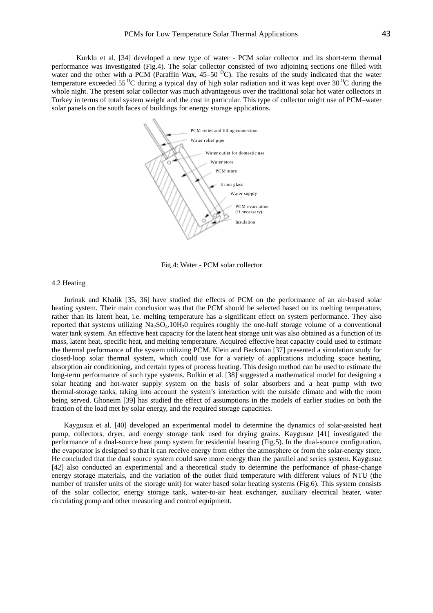Kurklu et al. [34] developed a new type of water - PCM solar collector and its short-term thermal performance was investigated (Fig.4). The solar collector consisted of two adjoining sections one filled with water and the other with a PCM (Paraffin Wax,  $45-50$  <sup>O</sup>C). The results of the study indicated that the water temperature exceeded 55<sup>o</sup>C during a typical day of high solar radiation and it was kept over 30<sup>o</sup>C during the whole night. The present solar collector was much advantageous over the traditional solar hot water collectors in Turkey in terms of total system weight and the cost in particular. This type of collector might use of PCM–water solar panels on the south faces of buildings for energy storage applications.



Fig.4: Water - PCM solar collector

# 4.2 Heating

 Jurinak and Khalik [35, 36] have studied the effects of PCM on the performance of an air-based solar heating system. Their main conclusion was that the PCM should be selected based on its melting temperature, rather than its latent heat, i.e. melting temperature has a significant effect on system performance. They also reported that systems utilizing  $Na<sub>2</sub>SO<sub>4</sub>$ .10H<sub>2</sub>O requires roughly the one-half storage volume of a conventional water tank system. An effective heat capacity for the latent heat storage unit was also obtained as a function of its mass, latent heat, specific heat, and melting temperature. Acquired effective heat capacity could used to estimate the thermal performance of the system utilizing PCM. Klein and Beckman [37] presented a simulation study for closed-loop solar thermal system, which could use for a variety of applications including space heating, absorption air conditioning, and certain types of process heating. This design method can be used to estimate the long-term performance of such type systems. Bulkin et al. [38] suggested a mathematical model for designing a solar heating and hot-water supply system on the basis of solar absorbers and a heat pump with two thermal-storage tanks, taking into account the system's interaction with the outside climate and with the room being served. Ghoneim [39] has studied the effect of assumptions in the models of earlier studies on both the fraction of the load met by solar energy, and the required storage capacities.

 Kaygusuz et al. [40] developed an experimental model to determine the dynamics of solar-assisted heat pump, collectors, dryer, and energy storage tank used for drying grains. Kaygusuz [41] investigated the performance of a dual-source heat pump system for residential heating (Fig.5). In the dual-source configuration, the evaporator is designed so that it can receive energy from either the atmosphere or from the solar-energy store. He concluded that the dual source system could save more energy than the parallel and series system. Kaygusuz [42] also conducted an experimental and a theoretical study to determine the performance of phase-change energy storage materials, and the variation of the outlet fluid temperature with different values of NTU (the number of transfer units of the storage unit) for water based solar heating systems (Fig.6). This system consists of the solar collector, energy storage tank, water-to-air heat exchanger, auxiliary electrical heater, water circulating pump and other measuring and control equipment.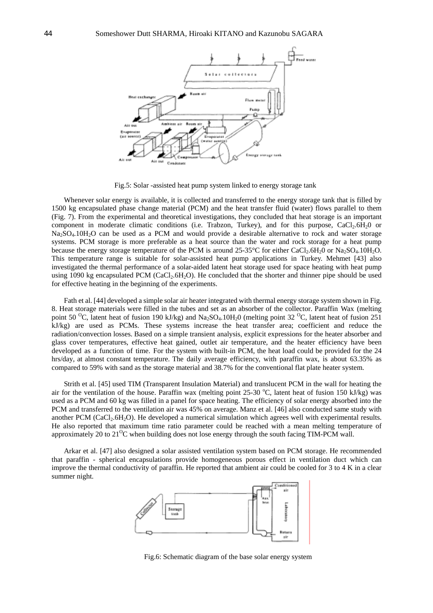

Fig.5: Solar -assisted heat pump system linked to energy storage tank

Whenever solar energy is available, it is collected and transferred to the energy storage tank that is filled by 1500 kg encapsulated phase change material (PCM) and the heat transfer fluid (water) flows parallel to them (Fig. 7). From the experimental and theoretical investigations, they concluded that heat storage is an important component in moderate climatic conditions (i.e. Trabzon, Turkey), and for this purpose, CaCl<sub>2</sub>.6H<sub>2</sub>0 or Na2SO4.10H2O can be used as a PCM and would provide a desirable alternative to rock and water storage systems. PCM storage is more preferable as a heat source than the water and rock storage for a heat pump because the energy storage temperature of the PCM is around  $25{\text -}35^{\circ}\text{C}$  for either CaCl<sub>2</sub>.6H<sub>2</sub>0 or Na<sub>2</sub>SO<sub>4</sub>.10H<sub>2</sub>O. This temperature range is suitable for solar-assisted heat pump applications in Turkey. Mehmet [43] also investigated the thermal performance of a solar-aided latent heat storage used for space heating with heat pump using 1090 kg encapsulated PCM (CaCl<sub>2</sub>.6H<sub>2</sub>O). He concluded that the shorter and thinner pipe should be used for effective heating in the beginning of the experiments.

 Fath et al. [44] developed a simple solar air heater integrated with thermal energy storage system shown in Fig. 8. Heat storage materials were filled in the tubes and set as an absorber of the collector. Paraffin Wax (melting point 50 <sup>o</sup>C, latent heat of fusion 190 kJ/kg) and Na<sub>2</sub>SO<sub>4</sub>.10H<sub>2</sub>0 (melting point 32 <sup>o</sup>C, latent heat of fusion 251 kJ/kg) are used as PCMs. These systems increase the heat transfer area; coefficient and reduce the radiation/convection losses. Based on a simple transient analysis, explicit expressions for the heater absorber and glass cover temperatures, effective heat gained, outlet air temperature, and the heater efficiency have been developed as a function of time. For the system with built-in PCM, the heat load could be provided for the 24 hrs/day, at almost constant temperature. The daily average efficiency, with paraffin wax, is about 63.35% as compared to 59% with sand as the storage material and 38.7% for the conventional flat plate heater system.

 Strith et al. [45] used TIM (Transparent Insulation Material) and translucent PCM in the wall for heating the air for the ventilation of the house. Paraffin wax (melting point 25-30  $^{\circ}$ C, latent heat of fusion 150 kJ/kg) was used as a PCM and 60 kg was filled in a panel for space heating. The efficiency of solar energy absorbed into the PCM and transferred to the ventilation air was 45% on average. Manz et al. [46] also conducted same study with another PCM (CaCl<sub>2</sub>.6H<sub>2</sub>O). He developed a numerical simulation which agrees well with experimental results. He also reported that maximum time ratio parameter could be reached with a mean melting temperature of approximately 20 to  $21^{\circ}$ C when building does not lose energy through the south facing TIM-PCM wall.

 Arkar et al. [47] also designed a solar assisted ventilation system based on PCM storage. He recommended that paraffin - spherical encapsulations provide homogeneous porous effect in ventilation duct which can improve the thermal conductivity of paraffin. He reported that ambient air could be cooled for 3 to 4 K in a clear summer night.



Fig.6: Schematic diagram of the base solar energy system

I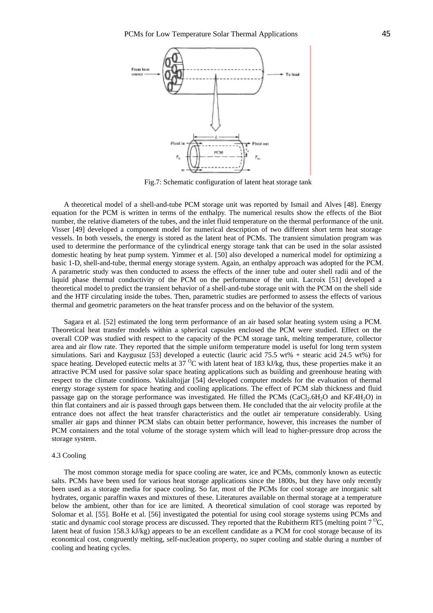

Fig.7: Schematic configuration of latent heat storage tank

 A theoretical model of a shell-and-tube PCM storage unit was reported by Ismail and Alves [48]. Energy equation for the PCM is written in terms of the enthalpy. The numerical results show the effects of the Biot number, the relative diameters of the tubes, and the inlet fluid temperature on the thermal performance of the unit. Visser [49] developed a component model for numerical description of two different short term heat storage vessels. In both vessels, the energy is stored as the latent heat of PCMs. The transient simulation program was used to determine the performance of the cylindrical energy storage tank that can be used in the solar assisted domestic heating by heat pump system. Yimmer et al. [50] also developed a numerical model for optimizing a basic 1-D, shell-and-tube, thermal energy storage system. Again, an enthalpy approach was adopted for the PCM. A parametric study was then conducted to assess the effects of the inner tube and outer shell radii and of the liquid phase thermal conductivity of the PCM on the performance of the unit. Lacroix [51] developed a theoretical model to predict the transient behavior of a shell-and-tube storage unit with the PCM on the shell side and the HTF circulating inside the tubes. Then, parametric studies are performed to assess the effects of various thermal and geometric parameters on the heat transfer process and on the behavior of the system.

 Sagara et al. [52] estimated the long term performance of an air based solar heating system using a PCM. Theoretical heat transfer models within a spherical capsules enclosed the PCM were studied. Effect on the overall COP was studied with respect to the capacity of the PCM storage tank, melting temperature, collector area and air flow rate. They reported that the simple uniform temperature model is useful for long term system simulations. Sari and Kaygusuz [53] developed a eutectic (lauric acid 75.5 wt% + stearic acid 24.5 wt%) for space heating. Developed eutectic melts at  $37^{\circ}$ C with latent heat of 183 kJ/kg, thus, these properties make it an attractive PCM used for passive solar space heating applications such as building and greenhouse heating with respect to the climate conditions. Vakilaltojjar [54] developed computer models for the evaluation of thermal energy storage system for space heating and cooling applications. The effect of PCM slab thickness and fluid passage gap on the storage performance was investigated. He filled the PCMs (CaCl<sub>2</sub>.6H<sub>2</sub>O and KF.4H<sub>2</sub>O) in thin flat containers and air is passed through gaps between them. He concluded that the air velocity profile at the entrance does not affect the heat transfer characteristics and the outlet air temperature considerably. Using smaller air gaps and thinner PCM slabs can obtain better performance, however, this increases the number of PCM containers and the total volume of the storage system which will lead to higher-pressure drop across the storage system.

## 4.3 Cooling

 The most common storage media for space cooling are water, ice and PCMs, commonly known as eutectic salts. PCMs have been used for various heat storage applications since the 1800s, but they have only recently been used as a storage media for space cooling. So far, most of the PCMs for cool storage are inorganic salt hydrates, organic paraffin waxes and mixtures of these. Literatures available on thermal storage at a temperature below the ambient, other than for ice are limited. A theoretical simulation of cool storage was reported by Solomar et al. [55]. BoHe et al. [56] investigated the potential for using cool storage systems using PCMs and static and dynamic cool storage process are discussed. They reported that the Rubitherm RT5 (melting point  $7^{\circ}$ C, latent heat of fusion 158.3 kJ/kg) appears to be an excellent candidate as a PCM for cool storage because of its economical cost, congruently melting, self-nucleation property, no super cooling and stable during a number of cooling and heating cycles.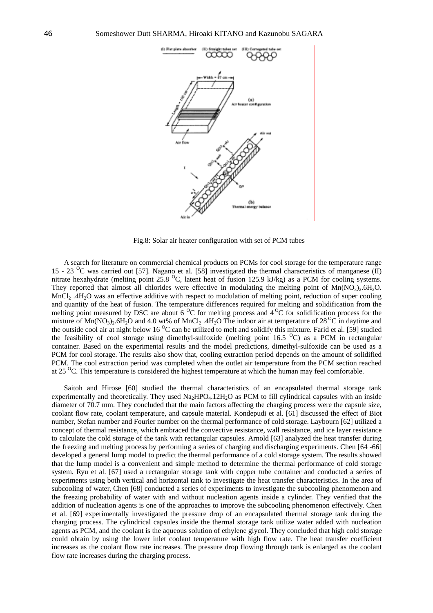

Fig.8: Solar air heater configuration with set of PCM tubes

 A search for literature on commercial chemical products on PCMs for cool storage for the temperature range 15 - 23 <sup>o</sup>C was carried out [57]. Nagano et al. [58] investigated the thermal characteristics of manganese (II) nitrate hexahydrate (melting point 25.8 <sup>o</sup>C, latent heat of fusion 125.9 kJ/kg) as a PCM for cooling systems. They reported that almost all chlorides were effective in modulating the melting point of  $Mn(NO<sub>3</sub>)$ . 6H<sub>2</sub>O. MnCl<sub>2</sub> .4H<sub>2</sub>O was an effective additive with respect to modulation of melting point, reduction of super cooling and quantity of the heat of fusion. The temperature differences required for melting and solidification from the melting point measured by DSC are about  $6\,^{\circ}\text{C}$  for melting process and  $4\,^{\circ}\text{C}$  for solidification process for the mixture of  $\text{Mn}(\text{NO}_3)_2.6\text{H}_2\text{O}$  and 4.0 wt% of  $\text{MnCl}_2$ . 4H<sub>2</sub>O The indoor air at temperature of 28<sup>o</sup>C in daytime and the outside cool air at night below 16<sup>o</sup>C can be utilized to melt and solidify this mixture. Farid et al. [59] studied the feasibility of cool storage using dimethyl-sulfoxide (melting point  $16.5$  °C) as a PCM in rectangular container. Based on the experimental results and the model predictions, dimethyl-sulfoxide can be used as a PCM for cool storage. The results also show that, cooling extraction period depends on the amount of solidified PCM. The cool extraction period was completed when the outlet air temperature from the PCM section reached at 25 <sup>o</sup>C. This temperature is considered the highest temperature at which the human may feel comfortable.

 Saitoh and Hirose [60] studied the thermal characteristics of an encapsulated thermal storage tank experimentally and theoretically. They used  $Na_2HPO_4.12H_2O$  as PCM to fill cylindrical capsules with an inside diameter of 70.7 mm. They concluded that the main factors affecting the charging process were the capsule size, coolant flow rate, coolant temperature, and capsule material. Kondepudi et al. [61] discussed the effect of Biot number, Stefan number and Fourier number on the thermal performance of cold storage. Laybourn [62] utilized a concept of thermal resistance, which embraced the convective resistance, wall resistance, and ice layer resistance to calculate the cold storage of the tank with rectangular capsules. Arnold [63] analyzed the heat transfer during the freezing and melting process by performing a series of charging and discharging experiments. Chen [64 -66] developed a general lump model to predict the thermal performance of a cold storage system. The results showed that the lump model is a convenient and simple method to determine the thermal performance of cold storage system. Ryu et al. [67] used a rectangular storage tank with copper tube container and conducted a series of experiments using both vertical and horizontal tank to investigate the heat transfer characteristics. In the area of subcooling of water, Chen [68] conducted a series of experiments to investigate the subcooling phenomenon and the freezing probability of water with and without nucleation agents inside a cylinder. They verified that the addition of nucleation agents is one of the approaches to improve the subcooling phenomenon effectively. Chen et al. [69] experimentally investigated the pressure drop of an encapsulated thermal storage tank during the charging process. The cylindrical capsules inside the thermal storage tank utilize water added with nucleation agents as PCM, and the coolant is the aqueous solution of ethylene glycol. They concluded that high cold storage could obtain by using the lower inlet coolant temperature with high flow rate. The heat transfer coefficient increases as the coolant flow rate increases. The pressure drop flowing through tank is enlarged as the coolant flow rate increases during the charging process.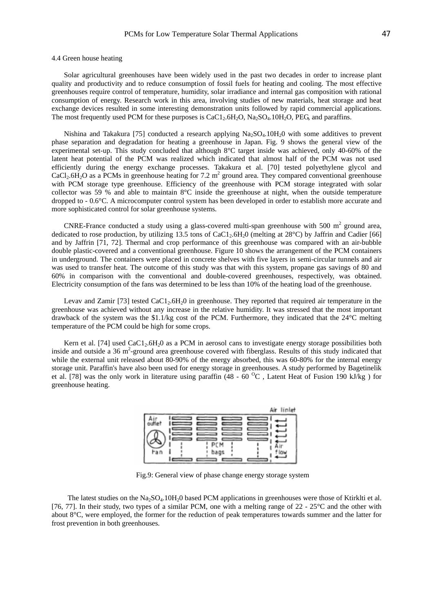Solar agricultural greenhouses have been widely used in the past two decades in order to increase plant quality and productivity and to reduce consumption of fossil fuels for heating and cooling. The most effective greenhouses require control of temperature, humidity, solar irradiance and internal gas composition with rational consumption of energy. Research work in this area, involving studies of new materials, heat storage and heat exchange devices resulted in some interesting demonstration units followed by rapid commercial applications. The most frequently used PCM for these purposes is  $CaC1_2.6H_2O$ ,  $Na_2SO_4.10H_2O$ , PEG, and paraffins.

Nishina and Takakura [75] conducted a research applying  $Na<sub>2</sub>SO<sub>4</sub>10H<sub>2</sub>0$  with some additives to prevent phase separation and degradation for heating a greenhouse in Japan. Fig. 9 shows the general view of the experimental set-up. This study concluded that although 8°C target inside was achieved, only 40-60% of the latent heat potential of the PCM was realized which indicated that almost half of the PCM was not used efficiently during the energy exchange processes. Takakura et al. [70] tested polyethylene glycol and CaCl<sub>2</sub>.6H<sub>2</sub>O as a PCMs in greenhouse heating for 7.2 m<sup>2</sup> ground area. They compared conventional greenhouse with PCM storage type greenhouse. Efficiency of the greenhouse with PCM storage integrated with solar collector was 59 % and able to maintain 8°C inside the greenhouse at night, when the outside temperature dropped to - 0.6°C. A microcomputer control system has been developed in order to establish more accurate and more sophisticated control for solar greenhouse systems.

CNRE-France conducted a study using a glass-covered multi-span greenhouse with 500  $m<sup>2</sup>$  ground area, dedicated to rose production, by utilizing 13.5 tons of  $CaCl<sub>2</sub>.6H<sub>2</sub>O$  (melting at 28°C) by Jaffrin and Cadier [66] and by Jaffrin [71, 72]. Thermal and crop performance of this greenhouse was compared with an air-bubble double plastic-covered and a conventional greenhouse. Figure 10 shows the arrangement of the PCM containers in underground. The containers were placed in concrete shelves with five layers in semi-circular tunnels and air was used to transfer heat. The outcome of this study was that with this system, propane gas savings of 80 and 60% in comparison with the conventional and double-covered greenhouses, respectively, was obtained. Electricity consumption of the fans was determined to be less than 10% of the heating load of the greenhouse.

Levav and Zamir [73] tested  $CaC1<sub>2</sub>.6H<sub>2</sub>0$  in greenhouse. They reported that required air temperature in the greenhouse was achieved without any increase in the relative humidity. It was stressed that the most important drawback of the system was the \$1.1/kg cost of the PCM. Furthermore, they indicated that the 24°C melting temperature of the PCM could be high for some crops.

Kern et al. [74] used  $CaC1<sub>2</sub>·6H<sub>2</sub>0$  as a PCM in aerosol cans to investigate energy storage possibilities both inside and outside a 36 m<sup>2</sup>-ground area greenhouse covered with fiberglass. Results of this study indicated that while the external unit released about 80-90% of the energy absorbed, this was 60-80% for the internal energy storage unit. Paraffin's have also been used for energy storage in greenhouses. A study performed by Bagetinelik et al. [78] was the only work in literature using paraffin (48 -  $60\,^{\circ}\text{C}$ , Latent Heat of Fusion 190 kJ/kg) for greenhouse heating.



Fig.9: General view of phase change energy storage system

The latest studies on the  $Na_2SO_4.10H_2O$  based PCM applications in greenhouses were those of Ktirklti et al. [76, 77]. In their study, two types of a similar PCM, one with a melting range of  $22 - 25^{\circ}$ C and the other with about 8°C, were employed, the former for the reduction of peak temperatures towards summer and the latter for frost prevention in both greenhouses.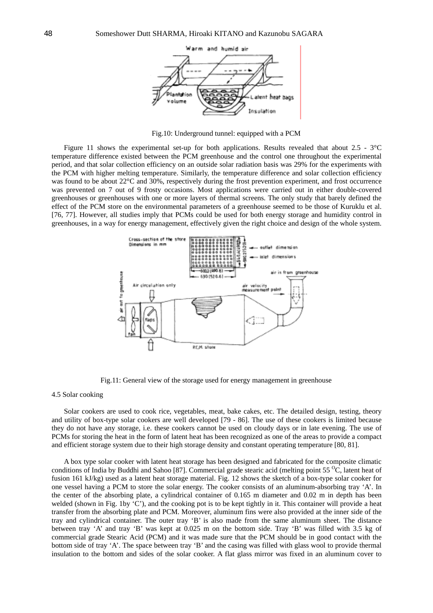

Fig.10: Underground tunnel: equipped with a PCM

Figure 11 shows the experimental set-up for both applications. Results revealed that about  $2.5 \div 3^{\circ}C$ temperature difference existed between the PCM greenhouse and the control one throughout the experimental period, and that solar collection efficiency on an outside solar radiation basis was 29% for the experiments with the PCM with higher melting temperature. Similarly, the temperature difference and solar collection efficiency was found to be about 22<sup>°</sup>C and 30%, respectively during the frost prevention experiment, and frost occurrence was prevented on 7 out of 9 frosty occasions. Most applications were carried out in either double-covered greenhouses or greenhouses with one or more layers of thermal screens. The only study that barely defined the effect of the PCM store on the environmental parameters of a greenhouse seemed to be those of Kuruklu et al. [76, 77]. However, all studies imply that PCMs could be used for both energy storage and humidity control in greenhouses, in a way for energy management, effectively given the right choice and design of the whole system.



Fig.11: General view of the storage used for energy management in greenhouse

## 4.5 Solar cooking

 Solar cookers are used to cook rice, vegetables, meat, bake cakes, etc. The detailed design, testing, theory and utility of box-type solar cookers are well developed [79 - 86]. The use of these cookers is limited because they do not have any storage, i.e. these cookers cannot be used on cloudy days or in late evening. The use of PCMs for storing the heat in the form of latent heat has been recognized as one of the areas to provide a compact and efficient storage system due to their high storage density and constant operating temperature [80, 81].

 A box type solar cooker with latent heat storage has been designed and fabricated for the composite climatic conditions of India by Buddhi and Sahoo [87]. Commercial grade stearic acid (melting point  $55<sup>o</sup>C$ , latent heat of fusion 161 kJ/kg) used as a latent heat storage material. Fig. 12 shows the sketch of a box-type solar cooker for one vessel having a PCM to store the solar energy. The cooker consists of an aluminum-absorbing tray 'A'. In the center of the absorbing plate, a cylindrical container of 0.165 m diameter and 0.02 m in depth has been welded (shown in Fig. 1by 'C'), and the cooking pot is to be kept tightly in it. This container will provide a heat transfer from the absorbing plate and PCM. Moreover, aluminum fins were also provided at the inner side of the tray and cylindrical container. The outer tray 'B' is also made from the same aluminum sheet. The distance between tray 'A' and tray 'B' was kept at 0.025 m on the bottom side. Tray 'B' was filled with 3.5 kg of commercial grade Stearic Acid (PCM) and it was made sure that the PCM should be in good contact with the bottom side of tray 'A'. The space between tray 'B' and the casing was filled with glass wool to provide thermal insulation to the bottom and sides of the solar cooker. A flat glass mirror was fixed in an aluminum cover to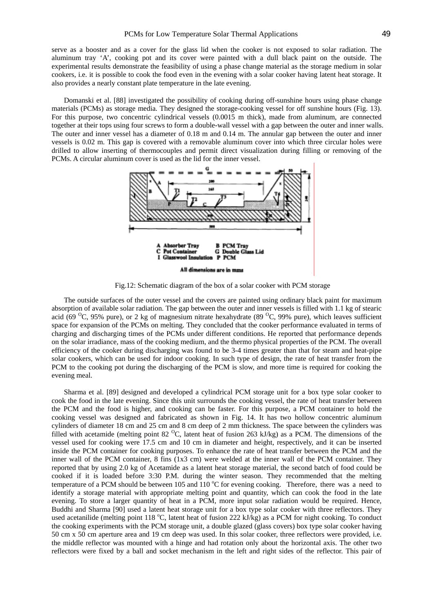serve as a booster and as a cover for the glass lid when the cooker is not exposed to solar radiation. The aluminum tray 'A', cooking pot and its cover were painted with a dull black paint on the outside. The experimental results demonstrate the feasibility of using a phase change material as the storage medium in solar cookers, i.e. it is possible to cook the food even in the evening with a solar cooker having latent heat storage. It also provides a nearly constant plate temperature in the late evening.

Domanski et al. [88] investigated the possibility of cooking during off-sunshine hours using phase change materials (PCMs) as storage media. They designed the storage-cooking vessel for off sunshine hours (Fig. 13). For this purpose, two concentric cylindrical vessels (0.0015 m thick), made from aluminum, are connected together at their tops using four screws to form a double-wall vessel with a gap between the outer and inner walls. The outer and inner vessel has a diameter of 0.18 m and 0.14 m. The annular gap between the outer and inner vessels is 0.02 m. This gap is covered with a removable aluminum cover into which three circular holes were drilled to allow inserting of thermocouples and permit direct visualization during filling or removing of the PCMs. A circular aluminum cover is used as the lid for the inner vessel.



Fig.12: Schematic diagram of the box of a solar cooker with PCM storage

 The outside surfaces of the outer vessel and the covers are painted using ordinary black paint for maximum absorption of available solar radiation. The gap between the outer and inner vessels is filled with 1.1 kg of stearic acid (69 <sup>o</sup>C, 95% pure), or 2 kg of magnesium nitrate hexahydrate (89 <sup>o</sup>C, 99% pure), which leaves sufficient space for expansion of the PCMs on melting. They concluded that the cooker performance evaluated in terms of charging and discharging times of the PCMs under different conditions. He reported that performance depends on the solar irradiance, mass of the cooking medium, and the thermo physical properties of the PCM. The overall efficiency of the cooker during discharging was found to be 3-4 times greater than that for steam and heat-pipe solar cookers, which can be used for indoor cooking. In such type of design, the rate of heat transfer from the PCM to the cooking pot during the discharging of the PCM is slow, and more time is required for cooking the evening meal.

 Sharma et al. [89] designed and developed a cylindrical PCM storage unit for a box type solar cooker to cook the food in the late evening. Since this unit surrounds the cooking vessel, the rate of heat transfer between the PCM and the food is higher, and cooking can be faster. For this purpose, a PCM container to hold the cooking vessel was designed and fabricated as shown in Fig. 14. It has two hollow concentric aluminum cylinders of diameter 18 cm and 25 cm and 8 cm deep of 2 mm thickness. The space between the cylinders was filled with acetamide (melting point 82 $^{\circ}$ C, latent heat of fusion 263 kJ/kg) as a PCM. The dimensions of the vessel used for cooking were 17.5 cm and 10 cm in diameter and height, respectively, and it can be inserted inside the PCM container for cooking purposes. To enhance the rate of heat transfer between the PCM and the inner wall of the PCM container, 8 fins (1x3 cm) were welded at the inner wall of the PCM container. They reported that by using 2.0 kg of Acetamide as a latent heat storage material, the second batch of food could be cooked if it is loaded before 3:30 P.M. during the winter season. They recommended that the melting temperature of a PCM should be between 105 and 110 °C for evening cooking. Therefore, there was a need to identify a storage material with appropriate melting point and quantity, which can cook the food in the late evening. To store a larger quantity of heat in a PCM, more input solar radiation would be required. Hence, Buddhi and Sharma [90] used a latent heat storage unit for a box type solar cooker with three reflectors. They used acetanilide (melting point 118 °C, latent heat of fusion 222 kJ/kg) as a PCM for night cooking. To conduct the cooking experiments with the PCM storage unit, a double glazed (glass covers) box type solar cooker having 50 cm x 50 cm aperture area and 19 cm deep was used. In this solar cooker, three reflectors were provided, i.e. the middle reflector was mounted with a hinge and had rotation only about the horizontal axis. The other two reflectors were fixed by a ball and socket mechanism in the left and right sides of the reflector. This pair of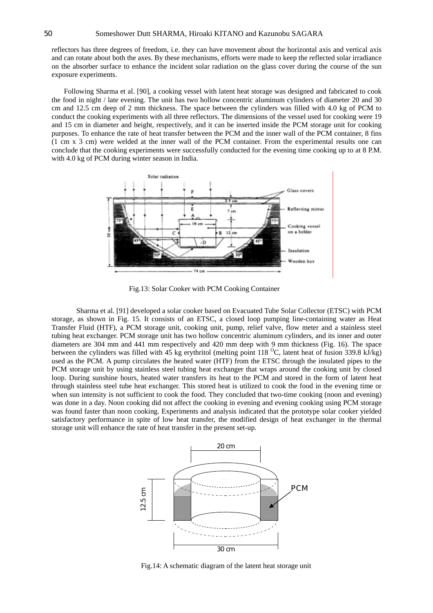reflectors has three degrees of freedom, i.e. they can have movement about the horizontal axis and vertical axis and can rotate about both the axes. By these mechanisms, efforts were made to keep the reflected solar irradiance on the absorber surface to enhance the incident solar radiation on the glass cover during the course of the sun exposure experiments.

 Following Sharma et al. [90], a cooking vessel with latent heat storage was designed and fabricated to cook the food in night / late evening. The unit has two hollow concentric aluminum cylinders of diameter 20 and 30 cm and 12.5 cm deep of 2 mm thickness. The space between the cylinders was filled with 4.0 kg of PCM to conduct the cooking experiments with all three reflectors. The dimensions of the vessel used for cooking were 19 and 15 cm in diameter and height, respectively, and it can be inserted inside the PCM storage unit for cooking purposes. To enhance the rate of heat transfer between the PCM and the inner wall of the PCM container, 8 fins (1 cm x 3 cm) were welded at the inner wall of the PCM container. From the experimental results one can conclude that the cooking experiments were successfully conducted for the evening time cooking up to at 8 P.M. with 4.0 kg of PCM during winter season in India.



Fig.13: Solar Cooker with PCM Cooking Container

 Sharma et al. [91] developed a solar cooker based on Evacuated Tube Solar Collector (ETSC) with PCM storage, as shown in Fig. 15. It consists of an ETSC, a closed loop pumping line-containing water as Heat Transfer Fluid (HTF), a PCM storage unit, cooking unit, pump, relief valve, flow meter and a stainless steel tubing heat exchanger. PCM storage unit has two hollow concentric aluminum cylinders, and its inner and outer diameters are 304 mm and 441 mm respectively and 420 mm deep with 9 mm thickness (Fig. 16). The space between the cylinders was filled with 45 kg erythritol (melting point 118  $^{\circ}$ C, latent heat of fusion 339.8 kJ/kg) used as the PCM. A pump circulates the heated water (HTF) from the ETSC through the insulated pipes to the PCM storage unit by using stainless steel tubing heat exchanger that wraps around the cooking unit by closed loop. During sunshine hours, heated water transfers its heat to the PCM and stored in the form of latent heat through stainless steel tube heat exchanger. This stored heat is utilized to cook the food in the evening time or when sun intensity is not sufficient to cook the food. They concluded that two-time cooking (noon and evening) was done in a day. Noon cooking did not affect the cooking in evening and evening cooking using PCM storage was found faster than noon cooking. Experiments and analysis indicated that the prototype solar cooker yielded satisfactory performance in spite of low heat transfer, the modified design of heat exchanger in the thermal storage unit will enhance the rate of heat transfer in the present set-up.



Fig.14: A schematic diagram of the latent heat storage unit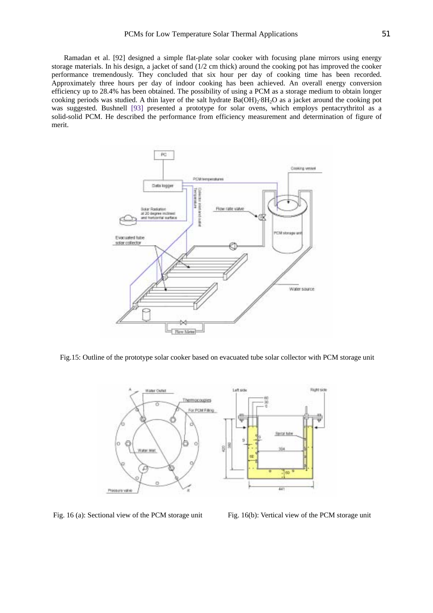Ramadan et al. [92] designed a simple flat-plate solar cooker with focusing plane mirrors using energy storage materials. In his design, a jacket of sand (1/2 cm thick) around the cooking pot has improved the cooker performance tremendously. They concluded that six hour per day of cooking time has been recorded. Approximately three hours per day of indoor cooking has been achieved. An overall energy conversion efficiency up to 28.4% has been obtained. The possibility of using a PCM as a storage medium to obtain longer cooking periods was studied. A thin layer of the salt hydrate  $Ba(OH)_{2}·8H_{2}O$  as a jacket around the cooking pot was suggested. Bushnell [93] presented a prototype for solar ovens, which employs pentacrythritol as a solid-solid PCM. He described the performance from efficiency measurement and determination of figure of merit.



Fig.15: Outline of the prototype solar cooker based on evacuated tube solar collector with PCM storage unit



Fig. 16 (a): Sectional view of the PCM storage unit Fig. 16(b): Vertical view of the PCM storage unit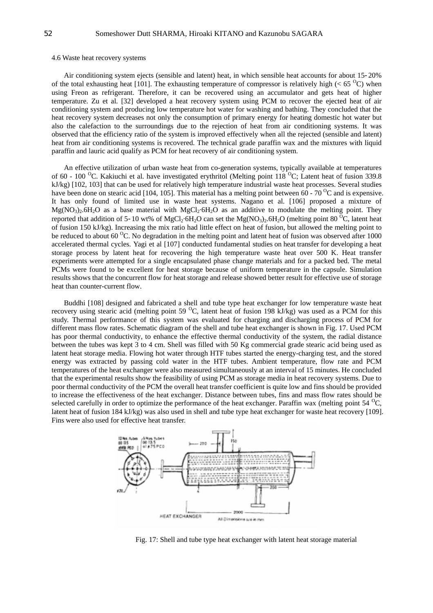#### 4.6 Waste heat recovery systems

 Air conditioning system ejects (sensible and latent) heat, in which sensible heat accounts for about 15 20% of the total exhausting heat [101]. The exhausting temperature of compressor is relatively high ( $< 65^{\circ}$ C) when using Freon as refrigerant. Therefore, it can be recovered using an accumulator and gets heat of higher temperature. Zu et al. [32] developed a heat recovery system using PCM to recover the ejected heat of air conditioning system and producing low temperature hot water for washing and bathing. They concluded that the heat recovery system decreases not only the consumption of primary energy for heating domestic hot water but also the calefaction to the surroundings due to the rejection of heat from air conditioning systems. It was observed that the efficiency ratio of the system is improved effectively when all the rejected (sensible and latent) heat from air conditioning systems is recovered. The technical grade paraffin wax and the mixtures with liquid paraffin and lauric acid qualify as PCM for heat recovery of air conditioning system.

 An effective utilization of urban waste heat from co-generation systems, typically available at temperatures of 60 - 100 <sup>o</sup>C. Kakiuchi et al. have investigated erythritol (Melting point 118<sup> $\degree$ </sup>C; Latent heat of fusion 339.8 kJ/kg) [102, 103] that can be used for relatively high temperature industrial waste heat processes. Several studies have been done on stearic acid [104, 105]. This material has a melting point between 60 - 70  $^{\circ}$ C and is expensive. It has only found of limited use in waste heat systems. Nagano et al. [106] proposed a mixture of  $Mg(NO<sub>3</sub>)<sub>2</sub>·6H<sub>2</sub>O$  as a base material with  $MgCl<sub>2</sub>·6H<sub>2</sub>O$  as an additive to modulate the melting point. They reported that addition of 5 10 wt% of MgCl<sub>2</sub>·6H<sub>2</sub>O can set the Mg(NO<sub>3</sub>)<sub>2</sub>.6H<sub>2</sub>O (melting point 80<sup>o</sup>C, latent heat of fusion 150 kJ/kg). Increasing the mix ratio had little effect on heat of fusion, but allowed the melting point to be reduced to about 60 <sup>O</sup>C. No degradation in the melting point and latent heat of fusion was observed after 1000 accelerated thermal cycles. Yagi et al [107] conducted fundamental studies on heat transfer for developing a heat storage process by latent heat for recovering the high temperature waste heat over 500 K. Heat transfer experiments were attempted for a single encapsulated phase change materials and for a packed bed. The metal PCMs were found to be excellent for heat storage because of uniform temperature in the capsule. Simulation results shows that the concurrent flow for heat storage and release showed better result for effective use of storage heat than counter-current flow.

 Buddhi [108] designed and fabricated a shell and tube type heat exchanger for low temperature waste heat recovery using stearic acid (melting point 59 <sup>o</sup>C, latent heat of fusion 198 kJ/kg) was used as a PCM for this study. Thermal performance of this system was evaluated for charging and discharging process of PCM for different mass flow rates. Schematic diagram of the shell and tube heat exchanger is shown in Fig. 17. Used PCM has poor thermal conductivity, to enhance the effective thermal conductivity of the system, the radial distance between the tubes was kept 3 to 4 cm. Shell was filled with 50 Kg commercial grade stearic acid being used as latent heat storage media. Flowing hot water through HTF tubes started the energy-charging test, and the stored energy was extracted by passing cold water in the HTF tubes. Ambient temperature, flow rate and PCM temperatures of the heat exchanger were also measured simultaneously at an interval of 15 minutes. He concluded that the experimental results show the feasibility of using PCM as storage media in heat recovery systems. Due to poor thermal conductivity of the PCM the overall heat transfer coefficient is quite low and fins should be provided to increase the effectiveness of the heat exchanger. Distance between tubes, fins and mass flow rates should be selected carefully in order to optimize the performance of the heat exchanger. Paraffin wax (melting point  $54 \text{ °C}$ , latent heat of fusion 184 kJ/kg) was also used in shell and tube type heat exchanger for waste heat recovery [109]. Fins were also used for effective heat transfer.



Fig. 17: Shell and tube type heat exchanger with latent heat storage material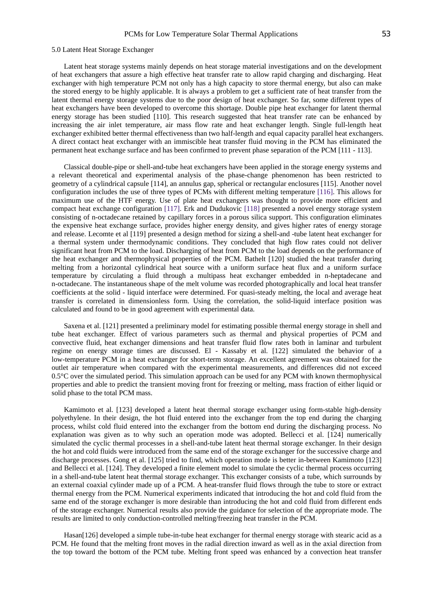#### 5.0 Latent Heat Storage Exchanger

 Latent heat storage systems mainly depends on heat storage material investigations and on the development of heat exchangers that assure a high effective heat transfer rate to allow rapid charging and discharging. Heat exchanger with high temperature PCM not only has a high capacity to store thermal energy, but also can make the stored energy to be highly applicable. It is always a problem to get a sufficient rate of heat transfer from the latent thermal energy storage systems due to the poor design of heat exchanger. So far, some different types of heat exchangers have been developed to overcome this shortage. Double pipe heat exchanger for latent thermal energy storage has been studied [110]. This research suggested that heat transfer rate can be enhanced by increasing the air inlet temperature, air mass flow rate and heat exchanger length. Single full-length heat exchanger exhibited better thermal effectiveness than two half-length and equal capacity parallel heat exchangers. A direct contact heat exchanger with an immiscible heat transfer fluid moving in the PCM has eliminated the permanent heat exchange surface and has been confirmed to prevent phase separation of the PCM [111 - 113].

 Classical double-pipe or shell-and-tube heat exchangers have been applied in the storage energy systems and a relevant theoretical and experimental analysis of the phase-change phenomenon has been restricted to geometry of a cylindrical capsule [114], an annulus gap, spherical or rectangular enclosures [115]. Another novel configuration includes the use of three types of PCMs with different melting temperature [116]. This allows for maximum use of the HTF energy. Use of plate heat exchangers was thought to provide more efficient and compact heat exchange configuration [117]. Erk and Dudukovic [118] presented a novel energy storage system consisting of n-octadecane retained by capillary forces in a porous silica support. This configuration eliminates the expensive heat exchange surface, provides higher energy density, and gives higher rates of energy storage and release. Lecomte et al [119] presented a design method for sizing a shell-and -tube latent heat exchanger for a thermal system under thermodynamic conditions. They concluded that high flow rates could not deliver significant heat from PCM to the load. Discharging of heat from PCM to the load depends on the performance of the heat exchanger and thermophysical properties of the PCM. Bathelt [120] studied the heat transfer during melting from a horizontal cylindrical heat source with a uniform surface heat flux and a uniform surface temperature by circulating a fluid through a multipass heat exchanger embedded in n-heptadecane and n-octadecane. The instantaneous shape of the melt volume was recorded photographically and local heat transfer coefficients at the solid - liquid interface were determined. For quasi-steady melting, the local and average heat transfer is correlated in dimensionless form. Using the correlation, the solid-liquid interface position was calculated and found to be in good agreement with experimental data.

 Saxena et al. [121] presented a preliminary model for estimating possible thermal energy storage in shell and tube heat exchanger. Effect of various parameters such as thermal and physical properties of PCM and convective fluid, heat exchanger dimensions and heat transfer fluid flow rates both in laminar and turbulent regime on energy storage times are discussed. El - Kassaby et al. [122] simulated the behavior of a low-temperature PCM in a heat exchanger for short-term storage. An excellent agreement was obtained for the outlet air temperature when compared with the experimental measurements, and differences did not exceed 0.5°C over the simulated period. This simulation approach can be used for any PCM with known thermophysical properties and able to predict the transient moving front for freezing or melting, mass fraction of either liquid or solid phase to the total PCM mass.

 Kamimoto et al. [123] developed a latent heat thermal storage exchanger using form-stable high-density polyethylene. In their design, the hot fluid entered into the exchanger from the top end during the charging process, whilst cold fluid entered into the exchanger from the bottom end during the discharging process. No explanation was given as to why such an operation mode was adopted. Bellecci et al. [124] numerically simulated the cyclic thermal processes in a shell-and-tube latent heat thermal storage exchanger. In their design the hot and cold fluids were introduced from the same end of the storage exchanger for the successive charge and discharge processes. Gong et al. [125] tried to find, which operation mode is better in-between Kamimoto [123] and Bellecci et al. [124]. They developed a finite element model to simulate the cyclic thermal process occurring in a shell-and-tube latent heat thermal storage exchanger. This exchanger consists of a tube, which surrounds by an external coaxial cylinder made up of a PCM. A heat-transfer fluid flows through the tube to store or extract thermal energy from the PCM. Numerical experiments indicated that introducing the hot and cold fluid from the same end of the storage exchanger is more desirable than introducing the hot and cold fluid from different ends of the storage exchanger. Numerical results also provide the guidance for selection of the appropriate mode. The results are limited to only conduction-controlled melting/freezing heat transfer in the PCM.

Hasan[126] developed a simple tube-in-tube heat exchanger for thermal energy storage with stearic acid as a PCM. He found that the melting front moves in the radial direction inward as well as in the axial direction from the top toward the bottom of the PCM tube. Melting front speed was enhanced by a convection heat transfer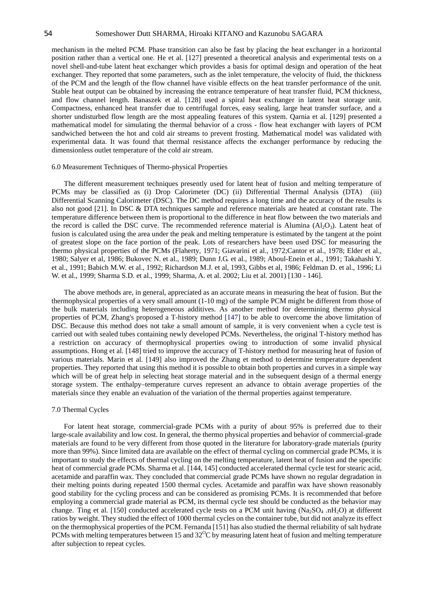## 54 Someshower Dutt SHARMA, Hiroaki KITANO and Kazunobu SAGARA

mechanism in the melted PCM. Phase transition can also be fast by placing the heat exchanger in a horizontal position rather than a vertical one. He et al. [127] presented a theoretical analysis and experimental tests on a novel shell-and-tube latent heat exchanger which provides a basis for optimal design and operation of the heat exchanger. They reported that some parameters, such as the inlet temperature, the velocity of fluid, the thickness of the PCM and the length of the flow channel have visible effects on the heat transfer performance of the unit. Stable heat output can be obtained by increasing the entrance temperature of heat transfer fluid, PCM thickness, and flow channel length. Banaszek et al. [128] used a spiral heat exchanger in latent heat storage unit. Compactness, enhanced heat transfer due to centrifugal forces, easy sealing, large heat transfer surface, and a shorter undisturbed flow length are the most appealing features of this system. Qarnia et al. [129] presented a mathematical model for simulating the thermal behavior of a cross - flow heat exchanger with layers of PCM sandwiched between the hot and cold air streams to prevent frosting. Mathematical model was validated with experimental data. It was found that thermal resistance affects the exchanger performance by reducing the dimensionless outlet temperature of the cold air stream.

#### 6.0 Measurement Techniques of Thermo-physical Properties

 The different measurement techniques presently used for latent heat of fusion and melting temperature of PCMs may be classified as (i) Drop Calorimeter (DC) (ii) Differential Thermal Analysis (DTA) (iii) Differential Scanning Calorimeter (DSC). The DC method requires a long time and the accuracy of the results is also not good [21]. In DSC & DTA techniques sample and reference materials are heated at constant rate. The temperature difference between them is proportional to the difference in heat flow between the two materials and the record is called the DSC curve. The recommended reference material is Alumina  $(A<sub>1</sub>O<sub>3</sub>)$ . Latent heat of fusion is calculated using the area under the peak and melting temperature is estimated by the tangent at the point of greatest slope on the face portion of the peak. Lots of researchers have been used DSC for measuring the thermo physical properties of the PCMs (Flaherty, 1971; Giavarini et al., 1972;Cantor et al., 1978; Elder et al., 1980; Salyer et al, 1986; Bukovec N. et al., 1989; Dunn J.G. et al., 1989; Aboul-Enein et al., 1991; Takahashi Y. et al., 1991; Babich M.W. et al., 1992; Richardson M.J. et al, 1993, Gibbs et al, 1986; Feldman D. et al., 1996; Li W. et al., 1999; Sharma S.D. et al., 1999; Sharma, A. et al. 2002; Liu et al. 2001) [130 - 146].

 The above methods are, in general, appreciated as an accurate means in measuring the heat of fusion. But the thermophysical properties of a very small amount (1-10 mg) of the sample PCM might be different from those of the bulk materials including heterogeneous additives. As another method for determining thermo physical properties of PCM, Zhang's proposed a T-history method [147] to be able to overcome the above limitation of DSC. Because this method does not take a small amount of sample, it is very convenient when a cycle test is carried out with sealed tubes containing newly developed PCMs. Nevertheless, the original T-history method has a restriction on accuracy of thermophysical properties owing to introduction of some invalid physical assumptions. Hong et al. [148] tried to improve the accuracy of T-history method for measuring heat of fusion of various materials. Marin et al. [149] also improved the Zhang et method to determine temperature dependent properties. They reported that using this method it is possible to obtain both properties and curves in a simple way which will be of great help in selecting heat storage material and in the subsequent design of a thermal energy storage system. The enthalpy–temperature curves represent an advance to obtain average properties of the materials since they enable an evaluation of the variation of the thermal properties against temperature.

# 7.0 Thermal Cycles

 For latent heat storage, commercial-grade PCMs with a purity of about 95% is preferred due to their large-scale availability and low cost. In general, the thermo physical properties and behavior of commercial-grade materials are found to be very different from those quoted in the literature for laboratory-grade materials (purity more than 99%). Since limited data are available on the effect of thermal cycling on commercial grade PCMs, it is important to study the effects of thermal cycling on the melting temperature, latent heat of fusion and the specific heat of commercial grade PCMs. Sharma et al. [144, 145] conducted accelerated thermal cycle test for stearic acid, acetamide and paraffin wax. They concluded that commercial grade PCMs have shown no regular degradation in their melting points during repeated 1500 thermal cycles. Acetamide and paraffin wax have shown reasonably good stability for the cycling process and can be considered as promising PCMs. It is recommended that before employing a commercial grade material as PCM, its thermal cycle test should be conducted as the behavior may change. Ting et al. [150] conducted accelerated cycle tests on a PCM unit having  $(Na_2SO_4 \nvert nH_2O)$  at different ratios by weight. They studied the effect of 1000 thermal cycles on the container tube, but did not analyze its effect on the thermophysical properties of the PCM. Fernanda [151] has also studied the thermal reliability of salt hydrate PCMs with melting temperatures between 15 and  $32^{\circ}$ C by measuring latent heat of fusion and melting temperature after subjection to repeat cycles.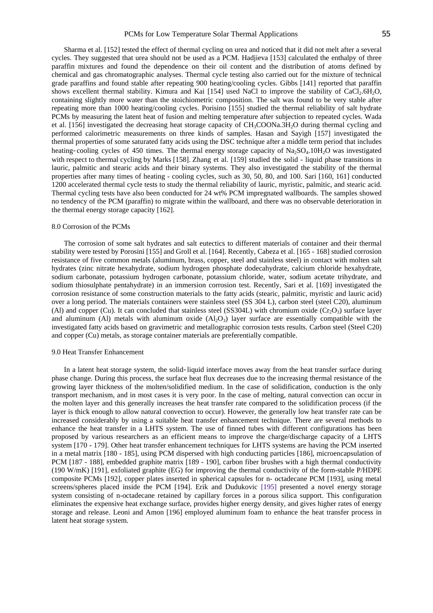Sharma et al. [152] tested the effect of thermal cycling on urea and noticed that it did not melt after a several cycles. They suggested that urea should not be used as a PCM. Hadjieva [153] calculated the enthalpy of three paraffin mixtures and found the dependence on their oil content and the distribution of atoms defined by chemical and gas chromatographic analyses. Thermal cycle testing also carried out for the mixture of technical grade paraffins and found stable after repeating 900 heating/cooling cycles. Gibbs [141] reported that paraffin shows excellent thermal stability. Kimura and Kai [154] used NaCl to improve the stability of CaCl<sub>2</sub>.6H<sub>2</sub>O, containing slightly more water than the stoichiometric composition. The salt was found to be very stable after repeating more than 1000 heating/cooling cycles. Porisino [155] studied the thermal reliability of salt hydrate PCMs by measuring the latent heat of fusion and melting temperature after subjection to repeated cycles. Wada et al. [156] investigated the decreasing heat storage capacity of CH3COONa.3H2O during thermal cycling and performed calorimetric measurements on three kinds of samples. Hasan and Sayigh [157] investigated the thermal properties of some saturated fatty acids using the DSC technique after a middle term period that includes heating cooling cycles of 450 times. The thermal energy storage capacity of  $Na_2SO_4.10H_2O$  was investigated with respect to thermal cycling by Marks [158]. Zhang et al. [159] studied the solid - liquid phase transitions in lauric, palmitic and stearic acids and their binary systems. They also investigated the stability of the thermal properties after many times of heating - cooling cycles, such as 30, 50, 80, and 100. Sari [160, 161] conducted 1200 accelerated thermal cycle tests to study the thermal reliability of lauric, myristic, palmitic, and stearic acid. Thermal cycling tests have also been conducted for 24 wt% PCM impregnated wallboards. The samples showed no tendency of the PCM (paraffin) to migrate within the wallboard, and there was no observable deterioration in the thermal energy storage capacity [162].

#### 8.0 Corrosion of the PCMs

 The corrosion of some salt hydrates and salt eutectics to different materials of container and their thermal stability were tested by Porosini [155] and Groll et al. [164]. Recently, Cabeza et al. [165 - 168] studied corrosion resistance of five common metals (aluminum, brass, copper, steel and stainless steel) in contact with molten salt hydrates (zinc nitrate hexahydrate, sodium hydrogen phosphate dodecahydrate, calcium chloride hexahydrate, sodium carbonate, potassium hydrogen carbonate, potassium chloride, water, sodium acetate trihydrate, and sodium thiosulphate pentahydrate) in an immersion corrosion test. Recently, Sari et al. [169] investigated the corrosion resistance of some construction materials to the fatty acids (stearic, palmitic, myristic and lauric acid) over a long period. The materials containers were stainless steel (SS 304 L), carbon steel (steel C20), aluminum (Al) and copper (Cu). It can concluded that stainless steel (SS304L) with chromium oxide (Cr<sub>2</sub>O<sub>3</sub>) surface layer and aluminum (Al) metals with aluminum oxide  $(A<sub>1</sub>O<sub>3</sub>)$  layer surface are essentially compatible with the investigated fatty acids based on gravimetric and metallographic corrosion tests results. Carbon steel (Steel C20) and copper (Cu) metals, as storage container materials are preferentially compatible.

#### 9.0 Heat Transfer Enhancement

 In a latent heat storage system, the solid liquid interface moves away from the heat transfer surface during phase change. During this process, the surface heat flux decreases due to the increasing thermal resistance of the growing layer thickness of the molten/solidified medium. In the case of solidification, conduction is the only transport mechanism, and in most cases it is very poor. In the case of melting, natural convection can occur in the molten layer and this generally increases the heat transfer rate compared to the solidification process (if the layer is thick enough to allow natural convection to occur). However, the generally low heat transfer rate can be increased considerably by using a suitable heat transfer enhancement technique. There are several methods to enhance the heat transfer in a LHTS system. The use of finned tubes with different configurations has been proposed by various researchers as an efficient means to improve the charge/discharge capacity of a LHTS system [170 - 179]. Other heat transfer enhancement techniques for LHTS systems are having the PCM inserted in a metal matrix [180 - 185], using PCM dispersed with high conducting particles [186], microencapsulation of PCM [187 - 188], embedded graphite matrix [189 - 190], carbon fiber brushes with a high thermal conductivity (190 W/mK) [191], exfoliated graphite (EG) for improving the thermal conductivity of the form-stable P/HDPE composite PCMs [192], copper plates inserted in spherical capsules for n- octadecane PCM [193], using metal screens/spheres placed inside the PCM [194]. Erik and Dudukovic [195] presented a novel energy storage system consisting of n-octadecane retained by capillary forces in a porous silica support. This configuration eliminates the expensive heat exchange surface, provides higher energy density, and gives higher rates of energy storage and release. Leoni and Amon [196] employed aluminum foam to enhance the heat transfer process in latent heat storage system.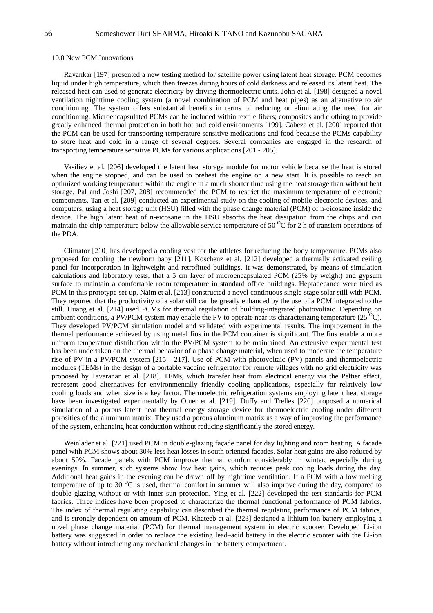## 10.0 New PCM Innovations

 Ravankar [197] presented a new testing method for satellite power using latent heat storage. PCM becomes liquid under high temperature, which then freezes during hours of cold darkness and released its latent heat. The released heat can used to generate electricity by driving thermoelectric units. John et al. [198] designed a novel ventilation nighttime cooling system (a novel combination of PCM and heat pipes) as an alternative to air conditioning. The system offers substantial benefits in terms of reducing or eliminating the need for air conditioning. Microencapsulated PCMs can be included within textile fibers; composites and clothing to provide greatly enhanced thermal protection in both hot and cold environments [199]. Cabeza et al. [200] reported that the PCM can be used for transporting temperature sensitive medications and food because the PCMs capability to store heat and cold in a range of several degrees. Several companies are engaged in the research of transporting temperature sensitive PCMs for various applications [201 - 205].

 Vasiliev et al. [206] developed the latent heat storage module for motor vehicle because the heat is stored when the engine stopped, and can be used to preheat the engine on a new start. It is possible to reach an optimized working temperature within the engine in a much shorter time using the heat storage than without heat storage. Pal and Joshi [207, 208] recommended the PCM to restrict the maximum temperature of electronic components. Tan et al. [209] conducted an experimental study on the cooling of mobile electronic devices, and computers, using a heat storage unit (HSU) filled with the phase change material (PCM) of n-eicosane inside the device. The high latent heat of n-eicosane in the HSU absorbs the heat dissipation from the chips and can maintain the chip temperature below the allowable service temperature of 50  $\rm{^{\circ}C}$  for 2 h of transient operations of the PDA.

 Climator [210] has developed a cooling vest for the athletes for reducing the body temperature. PCMs also proposed for cooling the newborn baby [211]. Koschenz et al. [212] developed a thermally activated ceiling panel for incorporation in lightweight and retrofitted buildings. It was demonstrated, by means of simulation calculations and laboratory tests, that a 5 cm layer of microencapsulated PCM (25% by weight) and gypsum surface to maintain a comfortable room temperature in standard office buildings. Heptadecance were tried as PCM in this prototype set-up. Naim et al. [213] constructed a novel continuous single-stage solar still with PCM. They reported that the productivity of a solar still can be greatly enhanced by the use of a PCM integrated to the still. Huang et al. [214] used PCMs for thermal regulation of building-integrated photovoltaic. Depending on ambient conditions, a PV/PCM system may enable the PV to operate near its characterizing temperature  $(25 \text{ °C})$ . They developed PV/PCM simulation model and validated with experimental results. The improvement in the thermal performance achieved by using metal fins in the PCM container is significant. The fins enable a more uniform temperature distribution within the PV/PCM system to be maintained. An extensive experimental test has been undertaken on the thermal behavior of a phase change material, when used to moderate the temperature rise of PV in a PV/PCM system [215 - 217]. Use of PCM with photovoltaic (PV) panels and thermoelectric modules (TEMs) in the design of a portable vaccine refrigerator for remote villages with no grid electricity was proposed by Tavaranan et al. [218]. TEMs, which transfer heat from electrical energy via the Peltier effect, represent good alternatives for environmentally friendly cooling applications, especially for relatively low cooling loads and when size is a key factor. Thermoelectric refrigeration systems employing latent heat storage have been investigated experimentally by Omer et al. [219]. Duffy and Trelles [220] proposed a numerical simulation of a porous latent heat thermal energy storage device for thermoelectric cooling under different porosities of the aluminum matrix. They used a porous aluminum matrix as a way of improving the performance of the system, enhancing heat conduction without reducing significantly the stored energy.

 Weinlader et al. [221] used PCM in double-glazing façade panel for day lighting and room heating. A facade panel with PCM shows about 30% less heat losses in south oriented facades. Solar heat gains are also reduced by about 50%. Facade panels with PCM improve thermal comfort considerably in winter, especially during evenings. In summer, such systems show low heat gains, which reduces peak cooling loads during the day. Additional heat gains in the evening can be drawn off by nighttime ventilation. If a PCM with a low melting temperature of up to 30  $\mathrm{^0C}$  is used, thermal comfort in summer will also improve during the day, compared to double glazing without or with inner sun protection. Ying et al. [222] developed the test standards for PCM fabrics. Three indices have been proposed to characterize the thermal functional performance of PCM fabrics. The index of thermal regulating capability can described the thermal regulating performance of PCM fabrics, and is strongly dependent on amount of PCM. Khateeb et al. [223] designed a lithium-ion battery employing a novel phase change material (PCM) for thermal management system in electric scooter. Developed Li-ion battery was suggested in order to replace the existing lead–acid battery in the electric scooter with the Li-ion battery without introducing any mechanical changes in the battery compartment.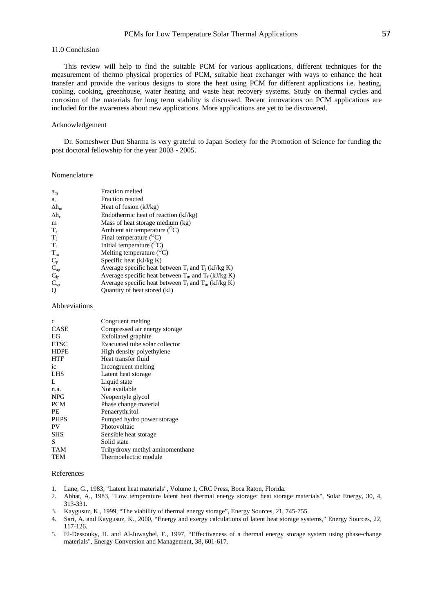## 11.0 Conclusion

 This review will help to find the suitable PCM for various applications, different techniques for the measurement of thermo physical properties of PCM, suitable heat exchanger with ways to enhance the heat transfer and provide the various designs to store the heat using PCM for different applications i.e. heating, cooling, cooking, greenhouse, water heating and waste heat recovery systems. Study on thermal cycles and corrosion of the materials for long term stability is discussed. Recent innovations on PCM applications are included for the awareness about new applications. More applications are yet to be discovered.

## Acknowledgement

 Dr. Someshwer Dutt Sharma is very grateful to Japan Society for the Promotion of Science for funding the post doctoral fellowship for the year 2003 - 2005.

## Nomenclature

| $a_{m}$           | Fraction melted                                         |
|-------------------|---------------------------------------------------------|
| $a_{r}$           | Fraction reacted                                        |
| $\Delta h_m$      | Heat of fusion $(kJ/kg)$                                |
| $\Delta h_r$      | Endothermic heat of reaction (kJ/kg)                    |
| m                 | Mass of heat storage medium (kg)                        |
| $T_a$             | Ambient air temperature $({}^{O}C)$                     |
| $T_f$             | Final temperature $({}^{O}C)$                           |
| $T_i$             | Initial temperature $(^{O}C)$                           |
| $T_m$             | Melting temperature $({}^{O}C)$                         |
| $C_p$             | Specific heat $(kJ/kg K)$                               |
| $C_{ap}$          | Average specific heat between $T_i$ and $T_f$ (kJ/kg K) |
| $C_{\mathrm{lp}}$ | Average specific heat between $T_m$ and $T_f$ (kJ/kg K) |
| $C_{sp}$          | Average specific heat between $T_i$ and $T_m$ (kJ/kg K) |
| 0                 | Quantity of heat stored (kJ)                            |

#### Abbreviations

| $\mathbf{C}$ | Congruent melting               |
|--------------|---------------------------------|
| <b>CASE</b>  | Compressed air energy storage   |
| EG           | Exfoliated graphite             |
| <b>ETSC</b>  | Evacuated tube solar collector  |
| <b>HDPE</b>  | High density polyethylene       |
| <b>HTF</b>   | Heat transfer fluid             |
| ic           | Incongruent melting             |
| LHS          | Latent heat storage             |
| L            | Liquid state                    |
| n.a.         | Not available                   |
| <b>NPG</b>   | Neopentyle glycol               |
| <b>PCM</b>   | Phase change material           |
| PE.          | Penaerythritol                  |
| <b>PHPS</b>  | Pumped hydro power storage      |
| <b>PV</b>    | Photovoltaic                    |
| <b>SHS</b>   | Sensible heat storage           |
| S            | Solid state                     |
| <b>TAM</b>   | Trihydroxy methyl aminomenthane |
| <b>TEM</b>   | Thermoelectric module           |

#### References

- 1. Lane, G., 1983, "Latent heat materials", Volume 1, CRC Press, Boca Raton, Florida.
- 2. Abhat, A., 1983, "Low temperature latent heat thermal energy storage: heat storage materials", Solar Energy, 30, 4, 313-331.
- 3. Kaygusuz, K., 1999, "The viability of thermal energy storage", Energy Sources, 21, 745-755.
- 4. Sari, A. and Kaygusuz, K., 2000, "Energy and exergy calculations of latent heat storage systems," Energy Sources, 22, 117-126.
- 5. El-Dessouky, H. and Al-Juwayhel, F., 1997, "Effectiveness of a thermal energy storage system using phase-change materials", Energy Conversion and Management, 38, 601-617.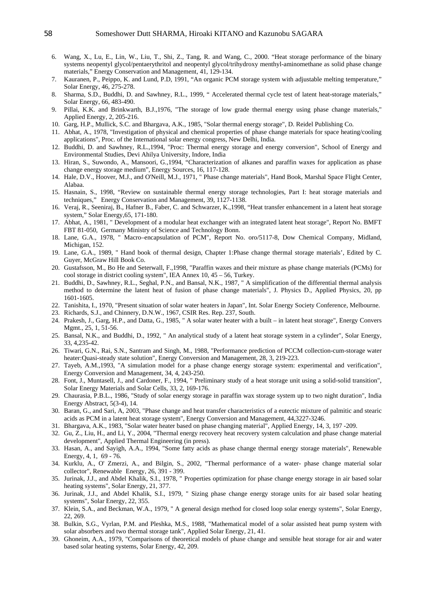- 6. Wang, X., Lu, E., Lin, W., Liu, T., Shi, Z., Tang, R. and Wang, C., 2000. "Heat storage performance of the binary systems neopentyl glycol/pentaerythritol and neopentyl glycol/trihydroxy menthyl-aminomethane as solid phase change materials," Energy Conservation and Management, 41, 129-134.
- 7. Kauranen, P., Peippo, K. and Lund, P.D, 1991, "An organic PCM storage system with adjustable melting temperature," Solar Energy, 46, 275-278.
- 8. Sharma, S.D., Buddhi, D. and Sawhney, R.L., 1999, " Accelerated thermal cycle test of latent heat-storage materials," Solar Energy, 66, 483-490.
- 9. Pillai, K.K. and Brinkwarth, B.J.,1976, "The storage of low grade thermal energy using phase change materials," Applied Energy, 2, 205-216.
- 10. Garg, H.P., Mullick, S.C. and Bhargava, A.K., 1985, "Solar thermal energy storage", D. Reidel Publishing Co.
- 11. Abhat, A., 1978, "Investigation of physical and chemical properties of phase change materials for space heating/cooling applications", Proc. of the International solar energy congress, New Delhi, India.
- 12. Buddhi, D. and Sawhney, R.L.,1994, "Proc: Thermal energy storage and energy conversion", School of Energy and Environmental Studies, Devi Ahilya University, Indore, India
- 13. Hiran, S., Suwondo, A., Mansoori, G.,1994, "Characterization of alkanes and paraffin waxes for application as phase change energy storage medium", Energy Sources, 16, 117-128.
- 14. Hale, D.V., Hoover, M.J., and O'Neill, M.J., 1971, " Phase change materials", Hand Book, Marshal Space Flight Center, Alabaa.
- 15. Hasnain, S., 1998, "Review on sustainable thermal energy storage technologies, Part I: heat storage materials and techniques," Energy Conservation and Management, 39, 1127-1138.
- 16. Veraj, R., Seeniraj, B., Hafner B., Faber, C. and Schwarzer, K.,1998, "Heat transfer enhancement in a latent heat storage system," Solar Energy,65, 171-180.
- 17. Abhat, A., 1981, " Development of a modular heat exchanger with an integrated latent heat storage", Report No. BMFT FBT 81-050, Germany Ministry of Science and Technology Bonn.
- 18. Lane, G.A., 1978, " Macro–encapsulation of PCM", Report No. oro/5117-8, Dow Chemical Company, Midland, Michigan, 152.
- 19. Lane, G.A., 1989, " Hand book of thermal design, Chapter 1:Phase change thermal storage materials', Edited by C. Guyer, McGraw Hill Book Co.
- 20. Gustafsson, M., Bo He and Seterwall, F.,1998, "Paraffin waxes and their mixture as phase change materials (PCMs) for cool storage in district cooling system", IEA Annex 10, 45 – 56, Turkey.
- 21. Buddhi, D., Sawhney, R.L., Seghal, P.N., and Bansal, N.K., 1987, " A simplification of the differential thermal analysis method to determine the latent heat of fusion of phase change materials", J. Physics D., Applied Physics, 20, pp 1601-1605.
- 22. Tanishita, I., 1970, "Present situation of solar water heaters in Japan", Int. Solar Energy Society Conference, Melbourne.
- 23. Richards, S.J., and Chinnery, D.N.W., 1967, CSIR Res. Rep. 237, South.
- 24. Prakesh, J., Garg, H.P., and Datta, G., 1985, " A solar water heater with a built in latent heat storage", Energy Convers Mgmt., 25, 1, 51-56.
- 25. Bansal, N.K., and Buddhi, D., 1992, " An analytical study of a latent heat storage system in a cylinder", Solar Energy, 33, 4,235-42.
- 26. Tiwari, G.N., Rai, S.N., Santram and Singh, M., 1988, "Performance prediction of PCCM collection-cum-storage water heater:Quasi-steady state solution", Energy Conversion and Management, 28, 3, 219-223.
- 27. Tayeb, A.M.,1993, "A simulation model for a phase change energy storage system: experimental and verification", Energy Conversion and Management, 34, 4, 243-250.
- 28. Font, J., Muntasell, J., and Cardoner, F., 1994, " Preliminary study of a heat storage unit using a solid-solid transition", Solar Energy Materials and Solar Cells, 33, 2, 169-176.
- 29. Chaurasia, P.B.L., 1986, "Study of solar energy storage in paraffin wax storage system up to two night duration", India Energy Abstract, 5(3-4), 14.
- 30. Baran, G., and Sari, A, 2003, "Phase change and heat transfer characteristics of a eutectic mixture of palmitic and stearic acids as PCM in a latent heat storage system", Energy Conversion and Management, 44,3227-3246.
- 31. Bhargava, A.K., 1983, "Solar water heater based on phase changing material", Applied Energy, 14, 3, 197 -209.
- 32. Gu, Z., Liu, H., and Li, Y., 2004, "Thermal energy recovery heat recovery system calculation and phase change material development", Applied Thermal Engineering (in press).
- 33. Hasan, A., and Sayigh, A.A., 1994, "Some fatty acids as phase change thermal energy storage materials", Renewable Energy, 4, 1, 69 - 76.
- 34. Kurklu, A., O' Zmerzi, A., and Bilgin, S., 2002, "Thermal performance of a water- phase change material solar collector", Renewable Energy, 26, 391 - 399.
- 35. Jurinak, J.J., and Abdel Khalik, S.I., 1978, " Properties optimization for phase change energy storage in air based solar heating systems", Solar Energy, 21, 377.
- 36. Jurinak, J.J., and Abdel Khalik, S.I., 1979, " Sizing phase change energy storage units for air based solar heating systems", Solar Energy, 22, 355.
- 37. Klein, S.A., and Beckman, W.A., 1979, " A general design method for closed loop solar energy systems", Solar Energy, 22, 269.
- 38. Bulkin, S.G., Vyrlan, P.M. and Pleshka, M.S., 1988, "Mathematical model of a solar assisted heat pump system with solar absorbers and two thermal storage tank", Applied Solar Energy, 21, 41.
- 39. Ghoneim, A.A., 1979, "Comparisons of theoretical models of phase change and sensible heat storage for air and water based solar heating systems, Solar Energy, 42, 209.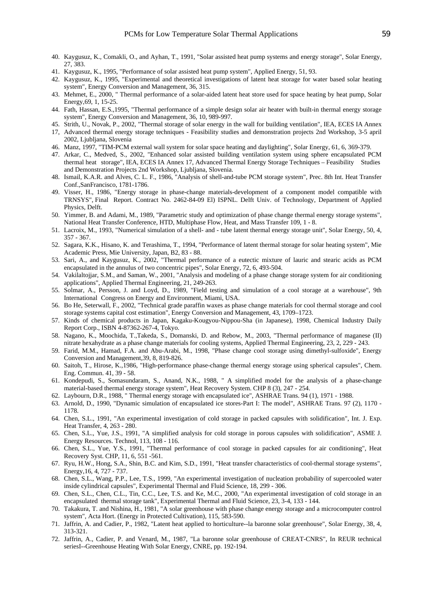- 40. Kaygusuz, K., Comakli, O., and Ayhan, T., 1991, "Solar assisted heat pump systems and energy storage", Solar Energy, 27, 383.
- 41. Kaygusuz, K., 1995, "Performance of solar assisted heat pump system", Applied Energy, 51, 93.
- 42. Kaygusuz, K., 1995, "Experimental and theoretical investigations of latent heat storage for water based solar heating system", Energy Conversion and Management, 36, 315.
- 43. Mehmet, E., 2000, " Thermal performance of a solar-aided latent heat store used for space heating by heat pump, Solar Energy,69, 1, 15-25.
- 44. Fath, Hassan, E.S.,1995, "Thermal performance of a simple design solar air heater with built-in thermal energy storage system", Energy Conversion and Management, 36, 10, 989-997.
- 45. Strith, U., Novak, P., 2002, "Thermal storage of solar energy in the wall for building ventilation", IEA, ECES IA Annex 17, Advanced thermal energy storage techniques - Feasibility studies and demonstration projects 2nd Workshop, 3-5 april 2002, Ljubljana, Slovenia
- 46. Manz, 1997, "TIM-PCM external wall system for solar space heating and daylighting", Solar Energy, 61, 6, 369-379.
- 47. Arkar, C., Medved, S., 2002, "Enhanced solar assisted building ventilation system using sphere encapsulated PCM thermal heat storage", IEA, ECES IA Annex 17, Advanced Thermal Energy Storage Techniques – Feasibility Studies and Demonstration Projects 2nd Workshop, Ljubljana, Slovenia.
- 48. Ismail, K.A.R. and Alves, C. L. F., 1986, "Analysis of shell-and-tube PCM storage system", Prec. 8th Int. Heat Transfer Conf.,SanFrancisco, 1781-1786.
- 49. Visser, H., 1986, "Energy storage in phase-change materials-development of a component model compatible with TRNSYS", Final Report. Contract No. 2462-84-09 El) ISPNL. Delft Univ. of Technology, Department of Applied Physics, Delft.
- 50. Yimmer, B. and Adami, M., 1989, "Parametric study and optimization of phase change thermal energy storage systems", National Heat Transfer Conference, HTD, Multiphase Flow, Heat, and Mass Transfer 109, 1 - 8.
- 51. Lacroix, M., 1993, "Numerical simulation of a shell- and tube latent thermal energy storage unit", Solar Energy, 50, 4, 357 - 367.
- 52. Sagara, K.K., Hisano, K. and Terashima, T., 1994, "Performance of latent thermal storage for solar heating system", Mie Academic Press, Mie University, Japan, B2, 83 - 88.
- 53. Sari, A., and Kaygusuz, K., 2002, "Thermal performance of a eutectic mixture of lauric and stearic acids as PCM encapsulated in the annulus of two concentric pipes", Solar Energy, 72, 6, 493-504.
- 54. Vakilaltojjar, S.M., and Saman, W., 2001, "Analysis and modeling of a phase change storage system for air conditioning applications", Applied Thermal Engineering, 21, 249-263.
- 55. Solmar, A., Persson, J. and Loyd, D., 1989, "Field testing and simulation of a cool storage at a warehouse", 9th International Congress on Energy and Environment, Miami, USA.
- 56. Bo He, Seterwall, F., 2002, "Technical grade paraffin waxes as phase change materials for cool thermal storage and cool storage systems capital cost estimation", Energy Conversion and Management, 43, 1709–1723.
- 57. Kinds of chemical products in Japan, Kagaku-Kougyou-Nippou-Sha (in Japanese), 1998, Chemical Industry Daily Report Corp., ISBN 4-87362-267-4, Tokyo.
- 58. Nagano, K., Moochida, T.,Takeda, S., Domanski, D. and Rebow, M., 2003, "Thermal performance of maganese (II) nitrate hexahydrate as a phase change materials for cooling systems, Applied Thermal Engineering, 23, 2, 229 - 243.
- 59. Farid, M.M., Hamad, F.A. and Abu-Arabi, M., 1998, "Phase change cool storage using dimethyl-sulfoxide", Energy Conversion and Management,39, 8, 819-826.
- 60. Saitoh, T., Hirose, K.,1986, "High-performance phase-change thermal energy storage using spherical capsules", Chem. Eng. Commun. 41, 39 - 58.
- 61. Kondepudi, S., Somasundaram, S., Anand, N.K., 1988, " A simplified model for the analysis of a phase-change material-based thermal energy storage system", Heat Recovery System. CHP 8 (3), 247 - 254.
- 62. Laybourn, D.R., 1988, " Thermal energy storage with encapsulated ice", ASHRAE Trans. 94 (1), 1971 1988.
- 63. Arnold, D., 1990, "Dynamic simulation of encapsulated ice stores-Part I: The model", ASHRAE Trans. 97 (2), 1170 1178.
- 64. Chen, S.L., 1991, "An experimental investigation of cold storage in packed capsules with solidification", Int. J. Exp. Heat Transfer, 4, 263 - 280.
- 65. Chen, S.L., Yue, J.S., 1991, "A simplified analysis for cold storage in porous capsules with solidification", ASME J. Energy Resources. Technol, 113, 108 - 116.
- 66. Chen, S.L., Yue, Y.S., 1991, "Thermal performance of cool storage in packed capsules for air conditioning", Heat Recovery Syst. CHP, 11, 6, 551 -561.
- 67. Ryu, H.W., Hong, S.A., Shin, B.C. and Kim, S.D., 1991, "Heat transfer characteristics of cool-thermal storage systems", Energy,16, 4, 727 - 737.
- 68. Chen, S.L., Wang, P.P., Lee, T.S., 1999, "An experimental investigation of nucleation probability of supercooled water inside cylindrical capsules", Experimental Thermal and Fluid Science, 18, 299 - 306.
- 69. Chen, S.L., Chen, C.L., Tin, C.C., Lee, T.S. and Ke, M.C., 2000, "An experimental investigation of cold storage in an encapsulated thermal storage tank", Experimental Thermal and Fluid Science, 23, 3-4, 133 - 144.
- 70. Takakura, T. and Nishina, H., 1981, "A solar greenhouse with phase change energy storage and a microcomputer control system", Acta Hort. (Energy in Protected Cultivation), 115, 583-590.
- 71. Jaffrin, A. and Cadier, P., 1982, "Latent heat applied to horticulture--la baronne solar greenhouse", Solar Energy, 38, 4, 313-321.
- 72. Jaffrin, A., Cadier, P. and Venard, M., 1987, "La baronne solar greenhouse of CREAT-CNRS", In REUR technical seriesI--Greenhouse Heating With Solar Energy, CNRE, pp. 192-194.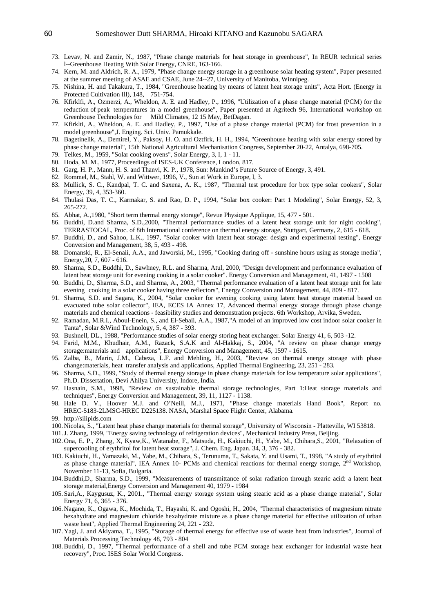- 73. Levav, N. and Zamir, N., 1987, "Phase change materials for heat storage in greenhouse", In REUR technical series l--Greenhouse Heating With Solar Energy, CNRE, 163-166.
- 74. Kern, M. and Aldrich, R. A., 1979, "Phase change energy storage in a greenhouse solar heating system", Paper presented at the summer meeting of ASAE and CSAE, June 24--27, University of Manitoba, Winnipeg.
- 75. Nishina, H. and Takakura, T., 1984, "Greenhouse heating by means of latent heat storage units", Acta Hort. (Energy in Protected Cultivation Ill), 148, 751-754.
- 76. Kfirklfi, A., Ozmerzi, A., Wheldon, A. E. and Hadley, P., 1996, "Utilization of a phase change material (PCM) for the reduction of peak temperatures in a model greenhouse", Paper presented at Agritech 96, International workshop on Greenhouse Technologies for Mild Climates, 12 15 May, BetDagan.
- 77. Kfirklti, A., Wheldon, A. E. and Hadley, P., 1997, "Use of a phase change material (PCM) for frost prevention in a model greenhouse",J. Enging. Sci. Univ. Pamukkale.
- 78. Bagetinelik, A., Demirel, Y., Paksoy, H. O. and Oztfirk, H. H., 1994, "Greenhouse heating with solar energy stored by phase change material", 15th National Agricultural Mechanisation Congress, September 20-22, Antalya, 698-705.
- 79. Telkes, M., 1959, "Solar cooking ovens", Solar Energy, 3, I, 1 11.
- 80. Hoda, M. M., 1977, Proceedings of ISES-UK Conference, London, 817.
- 81. Garg, H. P., Mann, H. S. and Thanvi, K. P., 1978, Sun: Mankind's Future Source of Energy, 3, 491.
- 82. Rommel, M., Stahl, W. and Wittwer, 1996, V., Sun at Work in Europe, l, 3.
- 83. Mullick, S. C., Kandpal, T. C. and Saxena, A. K., 1987, "Thermal test procedure for box type solar cookers", Solar Energy, 39, 4, 353-360.
- 84. Thulasi Das, T. C., Karmakar, S. and Rao, D. P., 1994, "Solar box cooker: Part 1 Modeling", Solar Energy, 52, 3, 265-272.
- 85. Abhat, A.,1980, "Short term thermal energy storage", Revue Physique Applique, 15, 477 501.
- 86. Buddhi, D.and Sharma, S.D.,2000, "Thermal performance studies of a latent heat storage unit for night cooking", TERRASTOCAL, Proc. of 8th International conference on thermal energy storage, Stuttgart, Germany, 2, 615 - 618.
- 87. Buddhi, D., and Sahoo, L.K., 1997, "Solar cooker with latent heat storage: design and experimental testing", Energy Conversion and Management, 38, 5, 493 - 498.
- 88. Domanski, R., El-Senaii, A.A., and Jaworski, M., 1995, "Cooking during off sunshine hours using as storage media", Energy,20, 7, 607 - 616.
- 89. Sharma, S.D., Buddhi, D., Sawhney, R.L. and Sharma, Atul, 2000, "Design development and performance evaluation of latent heat storage unit for evening cooking in a solar cooker". Energy Conversion and Management, 41, 1497 - 1508
- 90. Buddhi, D., Sharma, S.D., and Sharma, A., 2003, "Thermal performance evaluation of a latent heat storage unit for late evening cooking in a solar cooker having three reflectors", Energy Conversion and Management, 44, 809 - 817.
- 91. Sharma, S.D. and Sagara, K., 2004, "Solar cooker for evening cooking using latent heat storage material based on evacuated tube solar collector", IEA, ECES IA Annex 17, Advanced thermal energy storage through phase change materials and chemical reactions - feasibility studies and demonstration projects. 6th Workshop, Arvika, Sweden.
- 92. Ramadan, M.R.I., Aboul-Enein, S., and El-Sebaii, A.A., 1987,"A model of an improved low cost indoor solar cooker in Tanta", Solar &Wind Technology, 5, 4, 387 - 393.
- 93. Bushnell, DL., 1988, "Performance studies of solar energy storing heat exchanger. Solar Energy 41, 6, 503 -12.
- 94. Farid, M.M., Khudhair, A.M., Razack, S.A.K and Al-Hakkaj, S., 2004, "A review on phase change energy storage:materials and applications", Energy Conversion and Management, 45, 1597 - 1615.
- 95. Zalba, B., Marin, J.M., Cabeza, L.F. and Mehling, H., 2003, "Review on thermal energy storage with phase change:materials, heat transfer analysis and applications, Applied Thermal Engineering, 23, 251 - 283.
- 96. Sharma, S.D., 1999, "Study of thermal energy storage in phase change materials for low temperature solar applications", Ph.D. Dissertation, Devi Ahilya University, Indore, India.
- 97. Hasnain, S.M., 1998, "Review on sustainable thermal storage technologies, Part 1:Heat storage materials and techniques", Energy Conversion and Management, 39, 11, 1127 - 1138.
- 98. Hale D. V., Hoover M.J. and O'Neill, M.J., 1971, "Phase change materials Hand Book", Report no. HREC-5183-2LMSC-HREC D225138. NASA, Marshal Space Flight Center, Alabama.
- 99. http://silipids.com
- 100. Nicolas, S., "Latent heat phase change materials for thermal storage", University of Wisconsin Platteville, WI 53818.
- 101. J. Zhang, 1999, "Energy saving technology of refrigeration devices", Mechanical Industry Press, Beijing.
- 102. Ona, E. P., Zhang, X, Kyaw,K., Watanabe, F., Matsuda, H., Kakiuchi, H., Yabe, M., Chihara,S., 2001, "Relaxation of supercooling of erythritol for latent heat storage", J. Chem. Eng. Japan. 34, 3, 376 - 382.
- 103. Kakiuchi, H., Yamazaki, M., Yabe, M., Chihara, S., Terunuma, T., Sakata, Y. and Usami, T., 1998, "A study of erythritol as phase change material", IEA Annex 10- PCMs and chemical reactions for thermal energy storage, 2<sup>nd</sup> Workshop, November 11-13, Sofia, Bulgaria.
- 104. Buddhi,D., Sharma, S.D., 1999, "Measurements of transmittance of solar radiation through stearic acid: a latent heat storage material,Energy Conversion and Management 40, 1979 - 1984
- 105. Sari,A., Kaygusuz, K., 2001., "Thermal energy storage system using stearic acid as a phase change material", Solar Energy 71, 6, 365 - 376.
- 106. Nagano, K., Ogawa, K., Mochida, T., Hayashi, K. and Ogoshi, H., 2004, "Thermal characteristics of magnesium nitrate hexahydrate and magnesium chloride hexahydrate mixture as a phase change material for effective utilization of urban waste heat", Applied Thermal Engineering 24, 221 - 232.
- 107. Yagi, J. and Akiyama, T., 1995, "Storage of thermal energy for effective use of waste heat from industries", Journal of Materials Processing Technology 48, 793 - 804
- 108. Buddhi, D., 1997, "Thermal performance of a shell and tube PCM storage heat exchanger for industrial waste heat recovery", Proc. ISES Solar World Congress.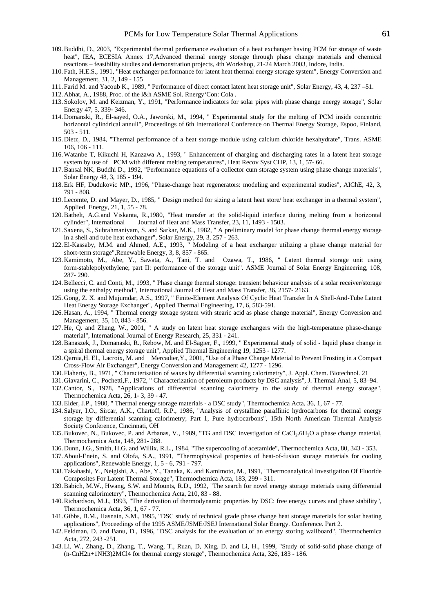- 109. Buddhi, D., 2003, "Experimental thermal performance evaluation of a heat exchanger having PCM for storage of waste heat", IEA, ECESIA Annex 17,Advanced thermal energy storage through phase change materials and chemical reactions – feasibility studies and demonstration projects, 4th Workshop, 21-24 March 2003, Indore, India.
- 110. Fath, H.E.S., 1991, "Heat exchanger performance for latent heat thermal energy storage system", Energy Conversion and Management, 31, 2, 149 - 155
- 111. Farid M. and Yacoub K., 1989, " Performance of direct contact latent heat storage unit", Solar Energy, 43, 4, 237 –51.
- 112. Abhat, A., 1988, Proc. of the l&h ASME Sol. Rnergy'Con: Cola .
- 113. Sokolov, M. and Keizman, Y., 1991, "Performance indicators for solar pipes with phase change energy storage", Solar Energy 47, 5, 339- 346.
- 114. Domanski, R., El-sayed, O.A., Jaworski, M., 1994, " Experimental study for the melting of PCM inside concentric horizontal cylindrical annuli", Proceedings of 6th International Conference on Thermal Energy Storage, Espoo, Finland, 503 - 511.
- 115. Dietz, D., 1984, "Thermal performance of a heat storage module using calcium chloride hexahydrate", Trans. ASME 106, 106 - 111.
- 116. Watanbe T, Kikuchi H, Kanzawa A., 1993, " Enhancement of charging and discharging rates in a latent heat storage system by use of PCM with different melting temperatures", Heat Recov Syst CHP, 13, 1, 57- 66.
- 117. Bansal NK, Buddhi D., 1992, "Performance equations of a collector cum storage system using phase change materials", Solar Energy 48, 3, 185 - 194.
- 118. Erk HF, Dudukovic MP., 1996, "Phase-change heat regenerators: modeling and experimental studies", AIChE, 42, 3, 791 - 808.
- 119. Lecomte, D. and Mayer, D., 1985, " Design method for sizing a latent heat store/ heat exchanger in a thermal system", Applied Energy, 21, 1, 55 - 78.
- 120. Bathelt, A.G.and Viskanta, R.,1980, "Heat transfer at the solid-liquid interface during melting from a horizontal cylinder", International Journal of Heat and Mass Transfer, 23, 11, 1493 - 1503.
- 121. Saxena, S., Subrahmaniyam, S. and Sarkar, M.K., 1982, " A preliminary model for phase change thermal energy storage in a shell and tube heat exchanger", Solar Energy, 29, 3, 257 - 263.
- 122. El-Kassaby, M.M. and Ahmed, A.E., 1993, " Modeling of a heat exchanger utilizing a phase change material for short-term storage",Renewable Energy, 3, 8, 857 - 865.
- 123. Kamimoto, M., Abe, Y., Sawata, A., Tani, T. and Ozawa, T., 1986, " Latent thermal storage unit using form-stablepolyethylene; part II: performance of the storage unit". ASME Journal of Solar Energy Engineering, 108, 287- 290.
- 124. Bellecci, C. and Conti, M., 1993, " Phase change thermal storage: transient behaviour analysis of a solar receiver/storage using the enthalpy method", International Journal of Heat and Mass Transfer, 36, 2157- 2163.
- 125. Gong, Z. X. and Mujumdar, A.S., 1997, " Finite-Element Analysis Of Cyclic Heat Transfer In A Shell-And-Tube Latent Heat Energy Storage Exchanger", Applied Thermal Engineering, 17, 6, 583-591.
- 126. Hasan, A., 1994, " Thermal energy storage system with stearic acid as phase change material", Energy Conversion and Management, 35, 10, 843 - 856.
- 127. He, Q. and Zhang, W., 2001, " A study on latent heat storage exchangers with the high-temperature phase-change material", International Journal of Energy Research, 25, 331 - 241.
- 128. Banaszek, J., Domanaski, R., Rebow, M. and El-Sagier, F., 1999, " Experimental study of solid liquid phase change in a spiral thermal energy storage unit", Applied Thermal Engineering 19, 1253 - 1277.
- 129. Qarnia,H. El., Lacroix, M. and Mercadier,Y., 2001, "Use of a Phase Change Material to Prevent Frosting in a Compact Cross-Flow Air Exchanger", Energy Conversion and Management 42, 1277 - 1296.
- 130. Flaherty, B., 1971, " Characterisation of waxes by differential scanning calorimetry", J. Appl. Chem. Biotechnol. 21
- 131. Giavarini, C., Pochetti,F., 1972, " Characterization of petroleum products by DSC analysis", J. Thermal Anal, 5, 83–94.
- 132. Cantor, S., 1978, "Applications of differential scanning calorimetry to the study of thermal energy storage", Thermochemica Acta, 26, 1- 3, 39 - 47.
- 133. Elder, J.P., 1980, " Thermal energy storage materials a DSC study", Thermochemica Acta, 36, 1, 67 77.
- 134. Salyer, I.O., Sircar, A.K., Chartoff, R.P., 1986, "Analysis of crystalline paraffinic hydrocarbons for thermal energy storage by differential scanning calorimetry; Part 1, Pure hydrocarbons", 15th North American Thermal Analysis Society Conference, Cincinnati, OH
- 135. Bukovec, N., Bukovec, P. and Arbanas, V., 1989, "TG and DSC investigation of CaCl<sub>2</sub>.6H<sub>2</sub>O a phase change material, Thermochemica Acta, 148, 281- 288.
- 136. Dunn, J.G., Smith, H.G. and Willix, R.L., 1984, "The supercooling of acetamide", Thermochemica Acta, 80, 343 353.
- 137. Aboul-Enein, S. and Olofa, S.A., 1991, "Thermophysical properties of heat-of-fusion storage materials for cooling applications", Renewable Energy, 1, 5 - 6, 791 - 797.
- 138. Takahashi, Y., Neigishi, A., Abe, Y., Tanaka, K. and Kamimoto, M., 1991, "Thermoanalytical Investigation Of Fluoride Composites For Latent Thermal Storage", Thermochemica Acta, 183, 299 - 311.
- 139. Babich, M.W., Hwang, S.W. and Mounts, R.D., 1992, "The search for novel energy storage materials using differential scanning calorimetery", Thermochemica Acta, 210, 83 - 88.
- 140. Richardson, M.J., 1993, "The derivation of thermodynamic properties by DSC: free energy curves and phase stability", Thermochemica Acta, 36, 1, 67 - 77.
- 141. Gibbs, B.M., Hasnain, S.M., 1995, "DSC study of technical grade phase change heat storage materials for solar heating applications", Proceedings of the 1995 ASME/JSME/JSEJ International Solar Energy. Conference. Part 2.
- 142. Feldman, D. and Banu, D., 1996, "DSC analysis for the evaluation of an energy storing wallboard", Thermochemica Acta, 272, 243 -251.
- 143. Li, W., Zhang, D., Zhang, T., Wang, T., Ruan, D, Xing, D. and Li, H., 1999, "Study of solid-solid phase change of (n-CnH2n+1NH3)2MCl4 for thermal energy storage", Thermochemica Acta, 326, 183 - 186.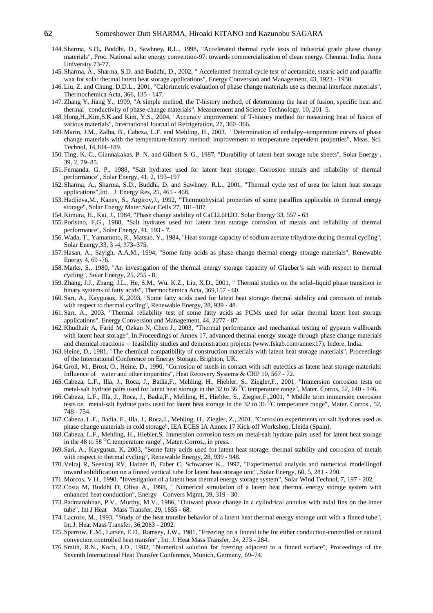- 144. Sharma, S.D.**,** Buddhi, D., Sawhney, R.L., 1998, "Accelerated thermal cycle tests of industrial grade phase change materials", Proc. National solar energy convention-97: towards commercialization of clean energy. Chennai. India. Anna University 73-77.
- 145. Sharma, A., Sharma, S.D. and Buddhi, D., 2002, " Accelerated thermal cycle test of acetamide, stearic acid and paraffin wax for solar thermal latent heat storage applications", Energy Conversion and Management, 43, 1923 - 1930.
- 146. Liu, Z. and Chung, D.D.L., 2001, "Calorimetric evaluation of phase change materials use as thermal interface materials", Thermochemica Acta, 366, 135 - 147.
- 147. Zhang Y, Jiang Y., 1999, "A simple method, the T-history method, of determining the heat of fusion, specific heat and thermal conductivity of phase-change materials", Measurement and Science Technology, 10, 201–5.
- 148. Hong,H.,Kim,S.K.and Kim, Y.S., 2004, "Accuracy improvement of T-history method for measuring heat of fusion of various materials", International Journal of Refrigeration, 27, 360–366.
- 149. Marin, J.M., Zalba, B., Cabeza, L.F. and Mehling, H., 2003, " Determination of enthalpy–temperature curves of phase change materials with the temperature-history method: improvement to temperature dependent properties", Meas. Sci. Technol, 14,184–189.
- 150. Ting, K. C., Giannakakas, P. N. and Gilbert S. G., 1987, "Durability of latent heat storage tube sheets", Solar Energy , 39, 2, 79–85.
- 151. Fernanda, G. P., 1988, "Salt hydrates used for latent heat storage: Corrosion metals and reliability of thermal performance", Solar Energy, 41, 2, 193–197
- 152. Sharma, A., Sharma, S.D., Buddhi, D. and Sawhney, R.L., 2001, "Thermal cycle test of urea for latent heat storage applications",Int. J. Energy Res, 25, 465 - 468.
- 153. Hadjieva,M., Kanev, S., Argirov,J., 1992, "Thermophysical properties of some paraffins applicable to thermal energy storage", Solar Energy Mater.Solar Cells 27, 181–187
- 154. Kimura, H., Kai, J., 1984, "Phase change stability of CaCl2.6H2O. Solar Energy 33, 557 63
- 155. Porisino, F.G., 1988, "Salt hydrates used for latent heat storage corrosion of metals and reliability of thermal performance", Solar Energy, 41, 193 - 7.
- 156. Wada, T., Yamamoto, R., Matsuo, Y., 1984, "Heat storage capacity of sodium acetate trihydrate during thermal cycling", Solar Energy,33, 3 -4, 373–375.
- 157. Hasan, A., Sayigh, A.A.M., 1994, "Some fatty acids as phase change thermal energy storage materials", Renewable Energy 4, 69 -76.
- 158. Marks, S., 1980, "An investigation of the thermal energy storage capacity of Glauber's salt with respect to thermal cycling", Solar Energy, 25, 255 - 8.
- 159. Zhang, J.J., Zhang, J.L., He, S.M., Wu, K.Z., Liu, X.D., 2001, " Thermal studies on the solid–liquid phase transition in binary systems of fatty acids", Thermochemica Acta, 369,157 - 60.
- 160. Sarı, A., Kaygusuz, K.,2003, "Some fatty acids used for latent heat storage: thermal stability and corrosion of metals with respect to thermal cycling", Renewable Energy, 28, 939 - 48.
- 161. Sarı, A., 2003, "Thermal reliability test of some fatty acids as PCMs used for solar thermal latent heat storage applications", Energy Conversion and Management, 44, 2277 - 87.
- 162. Khudhair A, Farid M, Ozkan N, Chen J., 2003, "Thermal performance and mechanical testing of gypsum wallboards with latent heat storage", In:Proceedings of Annex 17, advanced thermal energy storage through phase change materials and chemical reactions feasibility studies and demonstration projects (www.fskab.com/annex17), Indore, India.
- 163. Heine, D., 1981, "The chemical compatibility of construction materials with latent heat storage materials", Proceedings of the International Conference on Energy Storage, Brighton, UK.
- 164. Groll, M., Brost, O., Heine, D., 1990, "Corrosion of steels in contact with salt eutectics as latent heat storage materials: Influence of water and other impurities", Heat Recovery Systems & CHP 10, 567 - 72.
- 165. Cabeza, L.F., Illa, J., Roca, J., Badia,F., Mehling, H., Hiebler, S., Ziegler,F., 2001, "Immersion corrosion tests on metal-salt hydrate pairs used for latent heat storage in the 32 to 36<sup>o</sup>C temperature range", Mater. Corros, 52, 140 - 146.
- 166. Cabeza, L.F., Illa, J., Roca, J., Badia,F., Mehling, H., Hiebler, S., Ziegler,F.,2001, " Middle term immersion corrosion tests on metal-salt hydrate pairs used for latent heat storage in the  $32$  to  $36<sup>o</sup>C$  temperature range", Mater. Corros., 52, 748 - 754.
- 167. Cabeza, L.F., Badia, F., Illa, J., Roca,J., Mehling, H., Ziegler, Z., 2001, "Corrosion experiments on salt hydrates used as phase change materials in cold storage", IEA ECES IA Annex 17 Kick-off Workshop, Lleida (Spain).
- 168. Cabeza, L.F., Mehling, H., Hiebler,S. Immersion corrosion tests on metal-salt hydrate pairs used for latent heat storage in the 48 to 58 $\mathrm{^{\circ}C}$  temperature range", Mater. Corros., in press.
- 169. Sari, A., Kaygusuz, K, 2003, "Some fatty acids used for latent heat storage: thermal stability and corrosion of metals with respect to thermal cycling", Renewable Energy, 28, 939 - 948.
- 170. Velraj R, Seeniraj RV, Hafner B, Faber C, Schwarzer K., 1997, "Experimental analysis and numerical modellingof inward solidification on a finned vertical tube for latent heat storage unit",.Solar Energy, 60, 5, 281 - 290.
- 171. Morcos, V.H., 1990, "Investigation of a latent heat thermal energy storage system", Solar Wind Technol, 7, 197 202.
- 172. Costa M, Buddhi D, Oliva A., 1998, " Numerical simulation of a latent heat thermal energy storage system with enhanced heat conduction", Energy Convers Mgmt, 39, 319 - 30.
- 173. Padmanabhan, P.V., Murthy, M.V., 1986, "Outward phase change in a cylindrical annulus with axial fins on the inner tube", Int J Heat Mass Transfer, 29, 1855 - 68.
- 174. Lacroix, M., 1993, "Study of the heat transfer behavior of a latent heat thermal energy storage unit with a finned tube", Int.J. Heat Mass Transfer, 36,2083 - 2092.
- 175. Sparrow, E.M., Larsen, E.D., Ramsey, J.W., 1981, "Freezing on a finned tube for either conduction-controlled or natural convection controlled heat transfer", Int. J. Heat Mass Transfer, 24, 273 - 284.
- 176. Smith, R.N., Koch, J.D., 1982, "Numerical solution for freezing adjacent to a finned surface", Proceedings of the Seventh International Heat Transfer Conference, Munich, Germany, 69–74.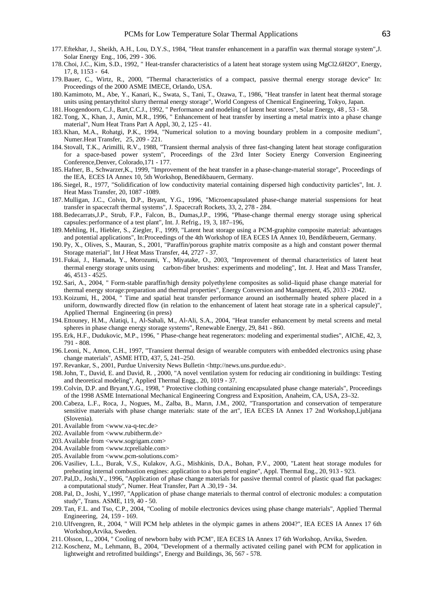- 177. Eftekhar, J., Sheikh, A.H., Lou, D.Y.S., 1984, "Heat transfer enhancement in a paraffin wax thermal storage system",J. Solar Energy Eng., 106, 299 - 306.
- 178. Choi, J.C., Kim, S.D., 1992, " Heat-transfer characteristics of a latent heat storage system using MgCl2.6H2O", Energy, 17, 8, 1153 - 64.
- 179. Bauer, C., Wirtz, R., 2000, "Thermal characteristics of a compact, passive thermal energy storage device" In: Proceedings of the 2000 ASME IMECE, Orlando, USA.
- 180. Kamimoto, M., Abe, Y., Kanari, K., Swata, S., Tani, T., Ozawa, T., 1986, "Heat transfer in latent heat thermal storage units using pentarythritol slurry thermal energy storage", World Congress of Chemical Engineering, Tokyo, Japan.
- 181. Hoogendoorn, C.J., Bart,C.C.J., 1992, " Performance and modeling of latent heat stores", Solar Energy, 48 , 53 58.
- 182. Tong, X., Khan, J., Amin, M.R., 1996, " Enhancement of heat transfer by inserting a metal matrix into a phase change material", Num Heat Trans Part A Appl, 30, 2, 125 - 41.
- 183. Khan, M.A., Rohatgi, P.K., 1994, "Numerical solution to a moving boundary problem in a composite medium", Numer.Heat Transfer, 25, 209 - 221.
- 184. Stovall, T.K., Arimilli, R.V., 1988, "Transient thermal analysis of three fast-changing latent heat storage configuration for a space-based power system", Proceedings of the 23rd Inter Society Energy Conversion Engineering Conference,Denver, Colorado,171 - 177.
- 185. Hafner, B., Schwarzer,K., 1999, "Improvement of the heat transfer in a phase-change-material storage", Proceedings of the IEA, ECES IA Annex 10, 5th Workshop, Benedikbauern, Germany.
- 186. Siegel, R., 1977, "Solidification of low conductivity material containing dispersed high conductivity particles", Int. J. Heat Mass Transfer, 20, 1087 -1089.
- 187. Mulligan, J.C., Colvin, D.P., Bryant, Y.G., 1996, "Microencapsulated phase-change material suspensions for heat transfer in spacecraft thermal systems", J. Spacecraft Rockets, 33, 2, 278 - 284.
- 188. Bedecarrats,J.P., Strub, F.P., Falcon, B., Dumas,J.P., 1996, "Phase-change thermal energy storage using spherical capsules: performance of a test plant", Int. J. Refrig., 19, 3, 187–196,
- 189. Mehling, H., Hiebler, S., Ziegler, F., 1999, "Latent heat storage using a PCM-graphite composite material: advantages and potential applications", In:Proceedings of the 4th Workshop of IEA ECES IA Annex 10, Bendiktbeuern, Germany.
- 190. Py, X., Olives, S., Mauran, S., 2001, "Paraffin/porous graphite matrix composite as a high and constant power thermal Storage material", Int J Heat Mass Transfer, 44, 2727 - 37.
- 191. Fukai, J., Hamada, Y., Morozumi, Y., Miyatake, O., 2003, "Improvement of thermal characteristics of latent heat thermal energy storage units using carbon-fiber brushes: experiments and modeling", Int. J. Heat and Mass Transfer, 46, 4513 - 4525.
- 192. Sari, A., 2004, " Form-stable paraffin/high density polyethylene composites as solid–liquid phase change material for thermal energy storage: preparation and thermal properties", Energy Conversion and Management, 45, 2033 - 2042.
- 193. Koizumi, H., 2004, " Time and spatial heat transfer performance around an isothermally heated sphere placed in a uniform, downwardly directed flow (in relation to the enhancement of latent heat storage rate in a spherical capsule)", Applied Thermal Engineering (in press)
- 194. Ettouney, H.M., Alatiqi, I., Al-Sahali, M., Al-Ali, S.A., 2004, "Heat transfer enhancement by metal screens and metal spheres in phase change energy storage systems", Renewable Energy, 29, 841 - 860.
- 195. Erk, H.F., Dudukovic, M.P., 1996, " Phase-change heat regenerators: modeling and experimental studies", AIChE, 42, 3, 791 - 808.
- 196. Leoni, N., Amon, C.H., 1997, "Transient thermal design of wearable computers with embedded electronics using phase change materials", ASME HTD, 437, 5, 241–250.
- 197. Revankar, S., 2001, Purdue University News Bulletin <http://news.uns.purdue.edu>.
- 198. John, T., David, E. and David, R. , 2000, "A novel ventilation system for reducing air conditioning in buildings: Testing and theoretical modeling", Applied Thermal Engg., 20, 1019 - 37.
- 199. Colvin, D.P. and Bryant,Y.G., 1998, " Protective clothing containing encapsulated phase change materials", Proceedings of the 1998 ASME International Mechanical Engineering Congress and Exposition, Anaheim, CA, USA, 23–32.
- 200. Cabeza, L.F., Roca, J., Nogues, M., Zalba, B., Marın, J.M., 2002, "Transportation and conservation of temperature sensitive materials with phase change materials: state of the art", IEA ECES IA Annex 17 2nd Workshop, Ljubljana (Slovenia).
- 201. Available from <www.va-q-tec.de>
- 202. Available from <www.rubitherm.de>
- 203. Available from <www.sogrigam.com>
- 204. Available from <www.tcpreliable.com>
- 205. Available from <www.pcm-solutions.com>
- 206. Vasiliev, L.L., Burak, V.S., Kulakov, A.G., Mishkinis, D.A., Bohan, P.V., 2000, "Latent heat storage modules for preheating internal combustion engines: application to a bus petrol engine", Appl. Thermal Eng., 20, 913 - 923.
- 207. Pal,D., Joshi,Y., 1996, "Application of phase change materials for passive thermal control of plastic quad flat packages: a computational study", Numer. Heat Transfer, Part A .30,19 - 34.
- 208. Pal, D., Joshi, Y.,1997, "Application of phase change materials to thermal control of electronic modules: a computation study", Trans. ASME, 119, 40 - 50.
- 209. Tan, F.L. and Tso, C.P., 2004, "Cooling of mobile electronics devices using phase change materials", Applied Thermal Engineering, 24, 159 - 169.
- 210. Ulfvengren, R., 2004, " Will PCM help athletes in the olympic games in athens 2004?", IEA ECES IA Annex 17 6th Workshop,Arvika, Sweden.
- 211. Olsson, L., 2004, " Cooling of newborn baby with PCM", IEA ECES IA Annex 17 6th Workshop, Arvika, Sweden.
- 212. Koschenz, M., Lehmann, B., 2004, "Development of a thermally activated ceiling panel with PCM for application in lightweight and retrofitted buildings", Energy and Buildings, 36, 567 - 578.